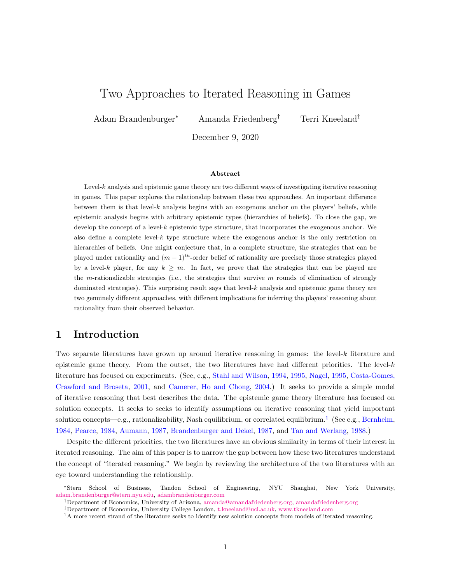# Two Approaches to Iterated Reasoning in Games

Adam Brandenburger<sup>∗</sup> Amanda Friedenberg† Terri Kneeland‡

December 9, 2020

#### Abstract

Level-k analysis and epistemic game theory are two different ways of investigating iterative reasoning in games. This paper explores the relationship between these two approaches. An important difference between them is that level- $k$  analysis begins with an exogenous anchor on the players' beliefs, while epistemic analysis begins with arbitrary epistemic types (hierarchies of beliefs). To close the gap, we develop the concept of a level-k epistemic type structure, that incorporates the exogenous anchor. We also define a complete level-k type structure where the exogenous anchor is the only restriction on hierarchies of beliefs. One might conjecture that, in a complete structure, the strategies that can be played under rationality and  $(m - 1)^{th}$ -order belief of rationality are precisely those strategies played by a level-k player, for any  $k \geq m$ . In fact, we prove that the strategies that can be played are the m-rationalizable strategies (i.e., the strategies that survive  $m$  rounds of elimination of strongly dominated strategies). This surprising result says that level-k analysis and epistemic game theory are two genuinely different approaches, with different implications for inferring the players' reasoning about rationality from their observed behavior.

### 1 Introduction

Two separate literatures have grown up around iterative reasoning in games: the level-k literature and epistemic game theory. From the outset, the two literatures have had different priorities. The level- $k$ literature has focused on experiments. (See, e.g., [Stahl and Wilson,](#page-23-0) [1994,](#page-23-0) [1995,](#page-23-1) [Nagel,](#page-22-0) [1995,](#page-22-0) [Costa-Gomes,](#page-22-1) [Crawford and Broseta,](#page-22-1) [2001,](#page-22-1) and [Camerer, Ho and Chong,](#page-22-2) [2004.](#page-22-2)) It seeks to provide a simple model of iterative reasoning that best describes the data. The epistemic game theory literature has focused on solution concepts. It seeks to seeks to identify assumptions on iterative reasoning that yield important solution concepts—e.g., rationalizability, Nash equilibrium, or correlated equilibrium.<sup>[1](#page-0-0)</sup> (See e.g., [Bernheim,](#page-22-3) [1984,](#page-22-3) [Pearce,](#page-23-2) [1984,](#page-23-2) [Aumann,](#page-22-4) [1987,](#page-22-4) [Brandenburger and Dekel,](#page-22-5) [1987,](#page-22-5) and [Tan and Werlang,](#page-23-3) [1988.](#page-23-3))

Despite the different priorities, the two literatures have an obvious similarity in terms of their interest in iterated reasoning. The aim of this paper is to narrow the gap between how these two literatures understand the concept of "iterated reasoning." We begin by reviewing the architecture of the two literatures with an eye toward understanding the relationship.

<sup>∗</sup>Stern School of Business, Tandon School of Engineering, NYU Shanghai, New York University, [adam.brandenburger@stern.nyu.edu,](mailto:adam.brandenburger@stern.nyu.edu) [adambrandenburger.com](https://www.adambrandenburger.com)

<sup>†</sup>Department of Economics, University of Arizona, [amanda@amandafriedenberg.org,](mailto:amanda@amandafriedenberg.org) [amandafriedenberg.org](https://www.amandafriedenberg.org)

<sup>‡</sup>Department of Economics, University College London, [t.kneeland@ucl.ac.uk,](mailto:t.kneeland@ucl.ac.uk) [www.tkneeland.com](http://www.tkneeland.com)

<span id="page-0-0"></span><sup>&</sup>lt;sup>1</sup>A more recent strand of the literature seeks to identify new solution concepts from models of iterated reasoning.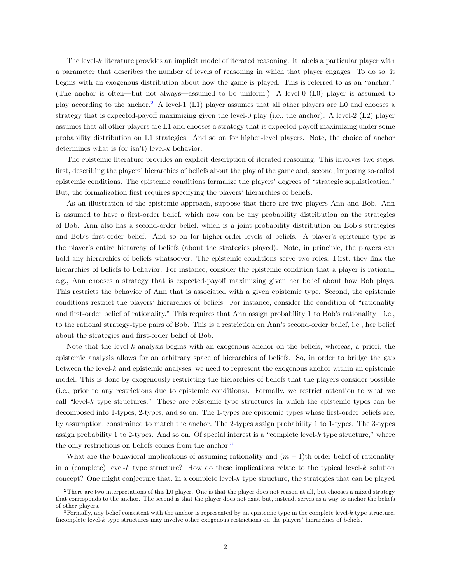The level- $k$  literature provides an implicit model of iterated reasoning. It labels a particular player with a parameter that describes the number of levels of reasoning in which that player engages. To do so, it begins with an exogenous distribution about how the game is played. This is referred to as an "anchor." (The anchor is often—but not always—assumed to be uniform.) A level-0 (L0) player is assumed to play according to the anchor.[2](#page-1-0) A level-1 (L1) player assumes that all other players are L0 and chooses a strategy that is expected-payoff maximizing given the level-0 play (i.e., the anchor). A level-2 (L2) player assumes that all other players are L1 and chooses a strategy that is expected-payoff maximizing under some probability distribution on L1 strategies. And so on for higher-level players. Note, the choice of anchor determines what is (or isn't) level- $k$  behavior.

The epistemic literature provides an explicit description of iterated reasoning. This involves two steps: first, describing the players' hierarchies of beliefs about the play of the game and, second, imposing so-called epistemic conditions. The epistemic conditions formalize the players' degrees of "strategic sophistication." But, the formalization first requires specifying the players' hierarchies of beliefs.

As an illustration of the epistemic approach, suppose that there are two players Ann and Bob. Ann is assumed to have a first-order belief, which now can be any probability distribution on the strategies of Bob. Ann also has a second-order belief, which is a joint probability distribution on Bob's strategies and Bob's first-order belief. And so on for higher-order levels of beliefs. A player's epistemic type is the player's entire hierarchy of beliefs (about the strategies played). Note, in principle, the players can hold any hierarchies of beliefs whatsoever. The epistemic conditions serve two roles. First, they link the hierarchies of beliefs to behavior. For instance, consider the epistemic condition that a player is rational, e.g., Ann chooses a strategy that is expected-payoff maximizing given her belief about how Bob plays. This restricts the behavior of Ann that is associated with a given epistemic type. Second, the epistemic conditions restrict the players' hierarchies of beliefs. For instance, consider the condition of "rationality and first-order belief of rationality." This requires that Ann assign probability 1 to Bob's rationality—i.e., to the rational strategy-type pairs of Bob. This is a restriction on Ann's second-order belief, i.e., her belief about the strategies and first-order belief of Bob.

Note that the level-k analysis begins with an exogenous anchor on the beliefs, whereas, a priori, the epistemic analysis allows for an arbitrary space of hierarchies of beliefs. So, in order to bridge the gap between the level-k and epistemic analyses, we need to represent the exogenous anchor within an epistemic model. This is done by exogenously restricting the hierarchies of beliefs that the players consider possible (i.e., prior to any restrictions due to epistemic conditions). Formally, we restrict attention to what we call "level-k type structures." These are epistemic type structures in which the epistemic types can be decomposed into 1-types, 2-types, and so on. The 1-types are epistemic types whose first-order beliefs are, by assumption, constrained to match the anchor. The 2-types assign probability 1 to 1-types. The 3-types assign probability 1 to 2-types. And so on. Of special interest is a "complete level-k type structure," where the only restrictions on beliefs comes from the anchor.<sup>[3](#page-1-1)</sup>

What are the behavioral implications of assuming rationality and  $(m-1)$ th-order belief of rationality in a (complete) level-k type structure? How do these implications relate to the typical level-k solution concept? One might conjecture that, in a complete level- $k$  type structure, the strategies that can be played

<span id="page-1-0"></span><sup>&</sup>lt;sup>2</sup>There are two interpretations of this L0 player. One is that the player does not reason at all, but chooses a mixed strategy that corresponds to the anchor. The second is that the player does not exist but, instead, serves as a way to anchor the beliefs of other players.

<span id="page-1-1"></span> $3$ Formally, any belief consistent with the anchor is represented by an epistemic type in the complete level- $k$  type structure. Incomplete level-k type structures may involve other exogenous restrictions on the players' hierarchies of beliefs.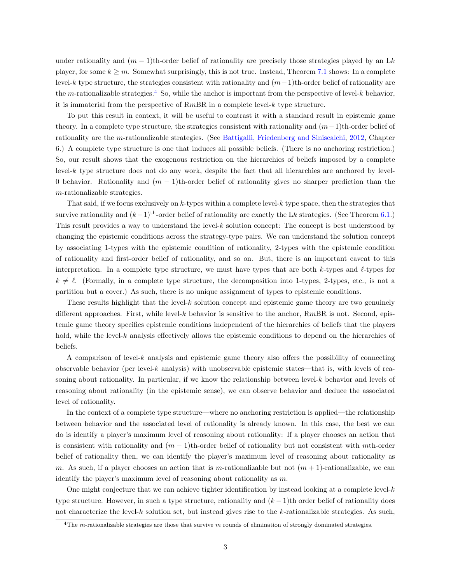under rationality and  $(m-1)$ th-order belief of rationality are precisely those strategies played by an Lk player, for some  $k \geq m$ . Somewhat surprisingly, this is not true. Instead, Theorem [7.1](#page-11-0) shows: In a complete level-k type structure, the strategies consistent with rationality and  $(m-1)$ th-order belief of rationality are the m-rationalizable strategies.<sup>[4](#page-2-0)</sup> So, while the anchor is important from the perspective of level-k behavior, it is immaterial from the perspective of  $RmBR$  in a complete level- $k$  type structure.

To put this result in context, it will be useful to contrast it with a standard result in epistemic game theory. In a complete type structure, the strategies consistent with rationality and  $(m-1)$ th-order belief of rationality are the m-rationalizable strategies. (See [Battigalli, Friedenberg and Siniscalchi,](#page-22-6) [2012,](#page-22-6) Chapter 6.) A complete type structure is one that induces all possible beliefs. (There is no anchoring restriction.) So, our result shows that the exogenous restriction on the hierarchies of beliefs imposed by a complete level-k type structure does not do any work, despite the fact that all hierarchies are anchored by level-0 behavior. Rationality and  $(m - 1)$ th-order belief of rationality gives no sharper prediction than the m-rationalizable strategies.

That said, if we focus exclusively on k-types within a complete level-k type space, then the strategies that survive rationality and  $(k-1)$ <sup>th</sup>-order belief of rationality are exactly the Lk strategies. (See Theorem [6.1.](#page-11-1)) This result provides a way to understand the level-k solution concept: The concept is best understood by changing the epistemic conditions across the strategy-type pairs. We can understand the solution concept by associating 1-types with the epistemic condition of rationality, 2-types with the epistemic condition of rationality and first-order belief of rationality, and so on. But, there is an important caveat to this interpretation. In a complete type structure, we must have types that are both k-types and  $\ell$ -types for  $k \neq \ell$ . (Formally, in a complete type structure, the decomposition into 1-types, 2-types, etc., is not a partition but a cover.) As such, there is no unique assignment of types to epistemic conditions.

These results highlight that the level- $k$  solution concept and epistemic game theory are two genuinely different approaches. First, while level-k behavior is sensitive to the anchor,  $RmBR$  is not. Second, epistemic game theory specifies epistemic conditions independent of the hierarchies of beliefs that the players hold, while the level- $k$  analysis effectively allows the epistemic conditions to depend on the hierarchies of beliefs.

A comparison of level-k analysis and epistemic game theory also offers the possibility of connecting observable behavior (per level-k analysis) with unobservable epistemic states—that is, with levels of reasoning about rationality. In particular, if we know the relationship between level-k behavior and levels of reasoning about rationality (in the epistemic sense), we can observe behavior and deduce the associated level of rationality.

In the context of a complete type structure—where no anchoring restriction is applied—the relationship between behavior and the associated level of rationality is already known. In this case, the best we can do is identify a player's maximum level of reasoning about rationality: If a player chooses an action that is consistent with rationality and  $(m-1)$ th-order belief of rationality but not consistent with mth-order belief of rationality then, we can identify the player's maximum level of reasoning about rationality as m. As such, if a player chooses an action that is m-rationalizable but not  $(m + 1)$ -rationalizable, we can identify the player's maximum level of reasoning about rationality as m.

One might conjecture that we can achieve tighter identification by instead looking at a complete level- $k$ type structure. However, in such a type structure, rationality and  $(k-1)$ th order belief of rationality does not characterize the level-k solution set, but instead gives rise to the k-rationalizable strategies. As such,

<span id="page-2-0"></span><sup>&</sup>lt;sup>4</sup>The m-rationalizable strategies are those that survive m rounds of elimination of strongly dominated strategies.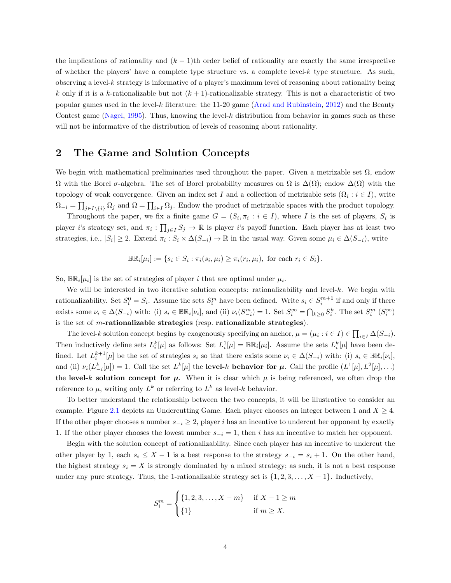the implications of rationality and  $(k - 1)$ th order belief of rationality are exactly the same irrespective of whether the players' have a complete type structure vs. a complete level-k type structure. As such, observing a level-k strategy is informative of a player's maximum level of reasoning about rationality being k only if it is a k-rationalizable but not  $(k + 1)$ -rationalizable strategy. This is not a characteristic of two popular games used in the level-k literature: the 11-20 game [\(Arad and Rubinstein,](#page-22-7) [2012\)](#page-22-7) and the Beauty Contest game [\(Nagel,](#page-22-0) [1995\)](#page-22-0). Thus, knowing the level- $k$  distribution from behavior in games such as these will not be informative of the distribution of levels of reasoning about rationality.

### 2 The Game and Solution Concepts

We begin with mathematical preliminaries used throughout the paper. Given a metrizable set  $\Omega$ , endow  $\Omega$  with the Borel σ-algebra. The set of Borel probability measures on  $\Omega$  is  $\Delta(\Omega)$ ; endow  $\Delta(\Omega)$  with the topology of weak convergence. Given an index set I and a collection of metrizable sets  $(\Omega_i : i \in I)$ , write  $\Omega_{-i} = \prod_{j\in I\setminus\{i\}} \Omega_j$  and  $\Omega = \prod_{i\in I} \Omega_j$ . Endow the product of metrizable spaces with the product topology.

Throughout the paper, we fix a finite game  $G = (S_i, \pi_i : i \in I)$ , where I is the set of players,  $S_i$  is player *i*'s strategy set, and  $\pi_i : \prod_{j \in I} S_j \to \mathbb{R}$  is player *i*'s payoff function. Each player has at least two strategies, i.e.,  $|S_i| \geq 2$ . Extend  $\pi_i : S_i \times \Delta(S_{-i}) \to \mathbb{R}$  in the usual way. Given some  $\mu_i \in \Delta(S_{-i})$ , write

$$
\mathbb{BR}_i[\mu_i] := \{ s_i \in S_i : \pi_i(s_i, \mu_i) \ge \pi_i(r_i, \mu_i), \text{ for each } r_i \in S_i \}.
$$

So,  $\mathbb{BR}_i[\mu_i]$  is the set of strategies of player i that are optimal under  $\mu_i$ .

We will be interested in two iterative solution concepts: rationalizability and level-k. We begin with rationalizability. Set  $S_i^0 = S_i$ . Assume the sets  $S_i^m$  have been defined. Write  $s_i \in S_i^{m+1}$  if and only if there exists some  $\nu_i \in \Delta(S_{-i})$  with: (i)  $s_i \in \mathbb{BR}_i[\nu_i]$ , and (ii)  $\nu_i(S_{-i}^m) = 1$ . Set  $S_i^{\infty} = \bigcap_{k \geq 0} S_i^k$ . The set  $S_i^m$   $(S_i^{\infty})$ is the set of m-rationalizable strategies (resp. rationalizable strategies).

The level-k solution concept begins by exogenously specifying an anchor,  $\mu = (\mu_i : i \in I) \in \prod_{i \in I} \Delta(S_{-i}).$ Then inductively define sets  $L_i^k[\mu]$  as follows: Set  $L_i^1[\mu] = \mathbb{BR}_i[\mu_i]$ . Assume the sets  $L_i^k[\mu]$  have been defined. Let  $L_i^{k+1}[\mu]$  be the set of strategies  $s_i$  so that there exists some  $\nu_i \in \Delta(S_{-i})$  with: (i)  $s_i \in \mathbb{BR}_i[\nu_i],$ and (ii)  $\nu_i(L_{-i}^k[\mu]) = 1$ . Call the set  $L^k[\mu]$  the **level-k behavior for**  $\mu$ . Call the profile  $(L^1[\mu], L^2[\mu], ...)$ the level-k solution concept for  $\mu$ . When it is clear which  $\mu$  is being referenced, we often drop the reference to  $\mu$ , writing only  $L^k$  or referring to  $L^k$  as level-k behavior.

To better understand the relationship between the two concepts, it will be illustrative to consider an example. Figure [2.1](#page-4-0) depicts an Undercutting Game. Each player chooses an integer between 1 and  $X \geq 4$ . If the other player chooses a number  $s_{-i} \geq 2$ , player i has an incentive to undercut her opponent by exactly 1. If the other player chooses the lowest number  $s_{-i} = 1$ , then i has an incentive to match her opponent.

Begin with the solution concept of rationalizability. Since each player has an incentive to undercut the other player by 1, each  $s_i \leq X - 1$  is a best response to the strategy  $s_{-i} = s_i + 1$ . On the other hand, the highest strategy  $s_i = X$  is strongly dominated by a mixed strategy; as such, it is not a best response under any pure strategy. Thus, the 1-rationalizable strategy set is  $\{1, 2, 3, \ldots, X-1\}$ . Inductively,

$$
S_i^m = \begin{cases} \{1, 2, 3, \dots, X - m\} & \text{if } X - 1 \ge m \\ \{1\} & \text{if } m \ge X. \end{cases}
$$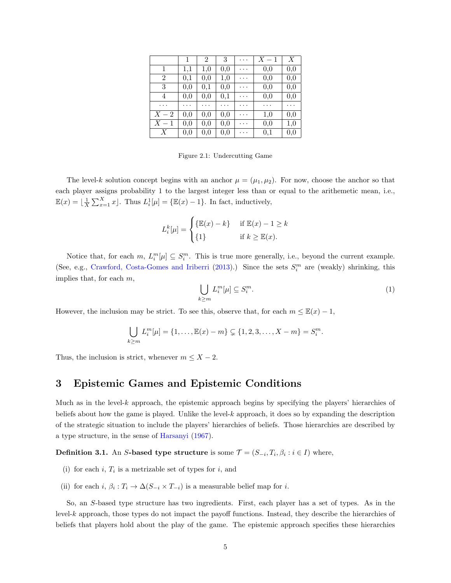<span id="page-4-0"></span>

|       | 1   | 2        | 3   | . | $X-1$    | Х        |
|-------|-----|----------|-----|---|----------|----------|
| 1     | 1,1 | 1,0      | 0,0 | . | 0,0      | 0,0      |
| 2     | 0,1 | 0,0      | 1,0 | . | 0,0      | 0,0      |
| 3     | 0,0 | $_{0,1}$ | 0,0 | . | $_{0,0}$ | $_{0,0}$ |
| 4     | 0,0 | 0,0      | 0,1 | . | 0,0      | 0,0      |
| .     | .   | .        | .   | . | .        | .        |
| $X-2$ | 0,0 | 0,0      | 0,0 | . | 1,0      | 0,0      |
| $X-1$ | 0,0 | 0,0      | 0,0 | . | $_{0,0}$ | 1,0      |
| X     | 0,0 | $_{0,0}$ | 0,0 | . | $_{0,1}$ | $_{0,0}$ |

Figure 2.1: Undercutting Game

The level-k solution concept begins with an anchor  $\mu = (\mu_1, \mu_2)$ . For now, choose the anchor so that each player assigns probability 1 to the largest integer less than or equal to the arithemetic mean, i.e.,  $\mathbb{E}(x) = \left[ \frac{1}{X} \sum_{x=1}^{X} x \right]$ . Thus  $L_i^1[\mu] = \{ \mathbb{E}(x) - 1 \}$ . In fact, inductively,

$$
L_i^k[\mu] = \begin{cases} {\mathbb{E}}(x) - k & \text{if } \mathbb{E}(x) - 1 \ge k \\ {1} & \text{if } k \ge \mathbb{E}(x). \end{cases}
$$

Notice that, for each  $m, L_i^m[\mu] \subseteq S_i^m$ . This is true more generally, i.e., beyond the current example. (See, e.g., [Crawford, Costa-Gomes and Iriberri](#page-22-8) [\(2013\)](#page-22-8).) Since the sets  $S_i^m$  are (weakly) shrinking, this implies that, for each  $m$ ,

<span id="page-4-1"></span>
$$
\bigcup_{k\geq m} L_i^m[\mu] \subseteq S_i^m. \tag{1}
$$

However, the inclusion may be strict. To see this, observe that, for each  $m \leq \mathbb{E}(x) - 1$ ,

$$
\bigcup_{k \ge m} L_i^m[\mu] = \{1, \dots, \mathbb{E}(x) - m\} \subsetneq \{1, 2, 3, \dots, X - m\} = S_i^m.
$$

Thus, the inclusion is strict, whenever  $m \leq X - 2$ .

### 3 Epistemic Games and Epistemic Conditions

Much as in the level- $k$  approach, the epistemic approach begins by specifying the players' hierarchies of beliefs about how the game is played. Unlike the level-k approach, it does so by expanding the description of the strategic situation to include the players' hierarchies of beliefs. Those hierarchies are described by a type structure, in the sense of [Harsanyi](#page-22-9) [\(1967\)](#page-22-9).

**Definition 3.1.** An S-based type structure is some  $\mathcal{T} = (S_{-i}, T_i, \beta_i : i \in I)$  where,

- (i) for each  $i, T_i$  is a metrizable set of types for  $i$ , and
- (ii) for each  $i, \beta_i : T_i \to \Delta(S_{-i} \times T_{-i})$  is a measurable belief map for i.

So, an S-based type structure has two ingredients. First, each player has a set of types. As in the level-k approach, those types do not impact the payoff functions. Instead, they describe the hierarchies of beliefs that players hold about the play of the game. The epistemic approach specifies these hierarchies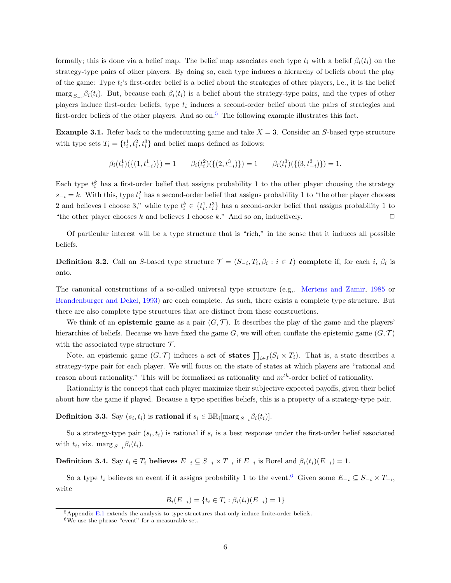formally; this is done via a belief map. The belief map associates each type  $t_i$  with a belief  $\beta_i(t_i)$  on the strategy-type pairs of other players. By doing so, each type induces a hierarchy of beliefs about the play of the game: Type  $t_i$ 's first-order belief is a belief about the strategies of other players, i.e., it is the belief  $\max_{S_{-i}} \beta_i(t_i)$ . But, because each  $\beta_i(t_i)$  is a belief about the strategy-type pairs, and the types of other players induce first-order beliefs, type  $t_i$  induces a second-order belief about the pairs of strategies and first-order beliefs of the other players. And so on.<sup>[5](#page-5-0)</sup> The following example illustrates this fact.

<span id="page-5-2"></span>**Example 3.1.** Refer back to the undercutting game and take  $X = 3$ . Consider an S-based type structure with type sets  $T_i = \{t_i^1, t_i^2, t_i^3\}$  and belief maps defined as follows:

$$
\beta_i(t_i^1)(\{(1,t_{-i}^1)\}) = 1 \qquad \beta_i(t_i^2)(\{(2,t_{-i}^3)\}) = 1 \qquad \beta_i(t_i^3)(\{(3,t_{-i}^3)\}) = 1.
$$

Each type  $t_i^k$  has a first-order belief that assigns probability 1 to the other player choosing the strategy  $s_{-i} = k$ . With this, type  $t_i^2$  has a second-order belief that assigns probability 1 to "the other player chooses" 2 and believes I choose 3," while type  $t_i^k \in \{t_i^1, t_i^3\}$  has a second-order belief that assigns probability 1 to "the other player chooses k and believes I choose k." And so on, inductively.  $\Box$ 

Of particular interest will be a type structure that is "rich," in the sense that it induces all possible beliefs.

**Definition 3.2.** Call an S-based type structure  $\mathcal{T} = (S_{-i}, T_i, \beta_i : i \in I)$  complete if, for each i,  $\beta_i$  is onto.

The canonical constructions of a so-called universal type structure (e.g,. [Mertens and Zamir,](#page-22-10) [1985](#page-22-10) or [Brandenburger and Dekel,](#page-22-11) [1993\)](#page-22-11) are each complete. As such, there exists a complete type structure. But there are also complete type structures that are distinct from these constructions.

We think of an **epistemic game** as a pair  $(G, \mathcal{T})$ . It describes the play of the game and the players' hierarchies of beliefs. Because we have fixed the game  $G$ , we will often conflate the epistemic game  $(G, \mathcal{T})$ with the associated type structure  $\mathcal{T}$ .

Note, an epistemic game  $(G, \mathcal{T})$  induces a set of states  $\prod_{i \in I} (S_i \times T_i)$ . That is, a state describes a strategy-type pair for each player. We will focus on the state of states at which players are "rational and reason about rationality." This will be formalized as rationality and  $m<sup>th</sup>$ -order belief of rationality.

Rationality is the concept that each player maximize their subjective expected payoffs, given their belief about how the game if played. Because a type specifies beliefs, this is a property of a strategy-type pair.

<span id="page-5-3"></span>**Definition 3.3.** Say  $(s_i, t_i)$  is **rational** if  $s_i \in \mathbb{BR}_i[\text{marg }_{S_{-i}}\beta_i(t_i)].$ 

So a strategy-type pair  $(s_i, t_i)$  is rational if  $s_i$  is a best response under the first-order belief associated with  $t_i$ , viz. marg  $s_{-i} \beta_i(t_i)$ .

<span id="page-5-4"></span>**Definition 3.4.** Say  $t_i \in T_i$  believes  $E_{-i} \subseteq S_{-i} \times T_{-i}$  if  $E_{-i}$  is Borel and  $\beta_i(t_i)(E_{-i}) = 1$ .

So a type  $t_i$  believes an event if it assigns probability 1 to the event.<sup>[6](#page-5-1)</sup> Given some  $E_{-i} \subseteq S_{-i} \times T_{-i}$ , write

$$
B_i(E_{-i}) = \{t_i \in T_i : \beta_i(t_i)(E_{-i}) = 1\}
$$

<span id="page-5-0"></span> $5$ Appendix [E.1](#page-19-0) extends the analysis to type structures that only induce finite-order beliefs.

<span id="page-5-1"></span><sup>6</sup>We use the phrase "event" for a measurable set.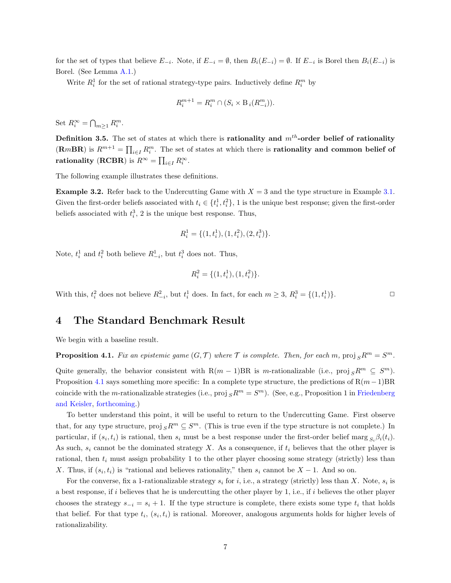for the set of types that believe  $E_{-i}$ . Note, if  $E_{-i} = \emptyset$ , then  $B_i(E_{-i}) = \emptyset$ . If  $E_{-i}$  is Borel then  $B_i(E_{-i})$  is Borel. (See Lemma [A.1.](#page-15-0))

Write  $R_i^1$  for the set of rational strategy-type pairs. Inductively define  $R_i^m$  by

$$
R_i^{m+1} = R_i^m \cap (S_i \times B_i(R_{-i}^m)).
$$

Set  $R_i^{\infty} = \bigcap_{m \geq 1} R_i^m$ .

<span id="page-6-1"></span>Definition 3.5. The set of states at which there is rationality and  $m<sup>th</sup>$ -order belief of rationality  $(\mathbf{R}m\mathbf{BR})$  is  $R^{m+1} = \prod_{i \in I} R_i^m$ . The set of states at which there is **rationality and common belief of** rationality (RCBR) is  $R^{\infty} = \prod_{i \in I} R_i^{\infty}$ .

The following example illustrates these definitions.

**Example 3.2.** Refer back to the Undercutting Game with  $X = 3$  and the type structure in Example [3.1.](#page-5-2) Given the first-order beliefs associated with  $t_i \in \{t_i^1, t_i^2\}$ , 1 is the unique best response; given the first-order beliefs associated with  $t_i^3$ , 2 is the unique best response. Thus,

$$
R_i^1 = \{(1, t_i^1), (1, t_i^2), (2, t_i^3)\}.
$$

Note,  $t_i^1$  and  $t_i^2$  both believe  $R_{-i}^1$ , but  $t_i^3$  does not. Thus,

$$
R_i^2 = \{(1, t_i^1), (1, t_i^2)\}.
$$

With this,  $t_i^2$  does not believe  $R_{-i}^2$ , but  $t_i^1$  does. In fact, for each  $m \geq 3$ ,  $R_i^3 = \{(1, t_i^1)\}\.$ 

## 4 The Standard Benchmark Result

We begin with a baseline result.

<span id="page-6-0"></span>**Proposition 4.1.** Fix an epistemic game  $(G, \mathcal{T})$  where  $\mathcal{T}$  is complete. Then, for each m, proj  $sR^m = S^m$ .

Quite generally, the behavior consistent with  $R(m-1)BR$  is m-rationalizable (i.e., proj<sub>S</sub> $R^m \subseteq S^m$ ). Proposition [4.1](#page-6-0) says something more specific: In a complete type structure, the predictions of  $R(m-1)BR$ coincide with the m-rationalizable strategies (i.e., proj  $_S R^m = S^m$ ). (See, e.g., Proposition 1 in [Friedenberg](#page-22-12) [and Keisler,](#page-22-12) [forthcoming.](#page-22-12))

To better understand this point, it will be useful to return to the Undercutting Game. First observe that, for any type structure, proj  $sR^m \subseteq S^m$ . (This is true even if the type structure is not complete.) In particular, if  $(s_i, t_i)$  is rational, then  $s_i$  must be a best response under the first-order belief marg  $s_i\beta_i(t_i)$ . As such,  $s_i$  cannot be the dominated strategy X. As a consequence, if  $t_i$  believes that the other player is rational, then  $t_i$  must assign probability 1 to the other player choosing some strategy (strictly) less than X. Thus, if  $(s_i, t_i)$  is "rational and believes rationality," then  $s_i$  cannot be  $X - 1$ . And so on.

For the converse, fix a 1-rationalizable strategy  $s_i$  for i, i.e., a strategy (strictly) less than X. Note,  $s_i$  is a best response, if i believes that he is undercutting the other player by 1, i.e., if i believes the other player chooses the strategy  $s_{-i} = s_i + 1$ . If the type structure is complete, there exists some type  $t_i$  that holds that belief. For that type  $t_i$ ,  $(s_i, t_i)$  is rational. Moreover, analogous arguments holds for higher levels of rationalizability.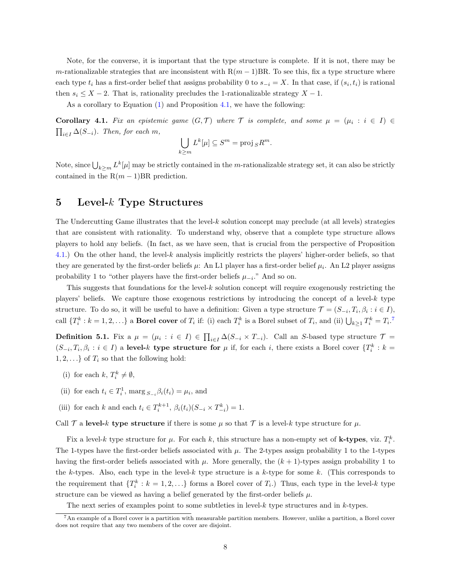Note, for the converse, it is important that the type structure is complete. If it is not, there may be m-rationalizable strategies that are inconsistent with  $R(m-1)BR$ . To see this, fix a type structure where each type  $t_i$  has a first-order belief that assigns probability 0 to  $s_{-i} = X$ . In that case, if  $(s_i, t_i)$  is rational then  $s_i \leq X - 2$ . That is, rationality precludes the 1-rationalizable strategy  $X - 1$ .

As a corollary to Equation [\(1\)](#page-4-1) and Proposition [4.1,](#page-6-0) we have the following:

**Corollary 4.1.** Fix an epistemic game  $(G, \mathcal{T})$  where  $\mathcal{T}$  is complete, and some  $\mu = (\mu_i : i \in I) \in$  $\prod_{i\in I} \Delta(S_{-i})$ . Then, for each m,

$$
\bigcup_{k\geq m} L^k[\mu] \subseteq S^m = \text{proj}_S R^m.
$$

Note, since  $\bigcup_{k\geq m} L^k[\mu]$  may be strictly contained in the m-rationalizable strategy set, it can also be strictly contained in the  $R(m-1)BR$  prediction.

### <span id="page-7-1"></span>5 Level- $k$  Type Structures

The Undercutting Game illustrates that the level-k solution concept may preclude (at all levels) strategies that are consistent with rationality. To understand why, observe that a complete type structure allows players to hold any beliefs. (In fact, as we have seen, that is crucial from the perspective of Proposition [4.1.](#page-6-0)) On the other hand, the level-k analysis implicitly restricts the players' higher-order beliefs, so that they are generated by the first-order beliefs  $\mu$ : An L1 player has a first-order belief  $\mu_i$ . An L2 player assigns probability 1 to "other players have the first-order beliefs  $\mu_{-i}$ ." And so on.

This suggests that foundations for the level-k solution concept will require exogenously restricting the players' beliefs. We capture those exogenous restrictions by introducing the concept of a level- $k$  type structure. To do so, it will be useful to have a definition: Given a type structure  $\mathcal{T} = (S_{-i}, T_i, \beta_i : i \in I)$ , call  $\{T_i^k : k = 1, 2, \ldots\}$  a **Borel cover** of  $T_i$  if: (i) each  $T_i^k$  is a Borel subset of  $T_i$ , and (ii)  $\bigcup_{k \geq 1} T_i^k = T_i$ .<sup>[7](#page-7-0)</sup>

**Definition 5.1.** Fix a  $\mu = (\mu_i : i \in I) \in \prod_{i \in I} \Delta(S_{-i} \times T_{-i})$ . Call an S-based type structure  $\mathcal{T} =$  $(S_{-i}, T_i, \beta_i : i \in I)$  a level-k type structure for  $\mu$  if, for each i, there exists a Borel cover  $\{T_i^k : k = I\}$  $1, 2, \ldots$  of  $T_i$  so that the following hold:

- (i) for each  $k, T_i^k \neq \emptyset$ ,
- (ii) for each  $t_i \in T_i^1$ , marg  $s_{-i} \beta_i(t_i) = \mu_i$ , and
- (iii) for each k and each  $t_i \in T_i^{k+1}$ ,  $\beta_i(t_i)(S_{-i} \times T_{-i}^k) = 1$ .

Call T a level-k type structure if there is some  $\mu$  so that T is a level-k type structure for  $\mu$ .

Fix a level-k type structure for  $\mu$ . For each k, this structure has a non-empty set of **k-types**, viz.  $T_i^k$ . The 1-types have the first-order beliefs associated with  $\mu$ . The 2-types assign probability 1 to the 1-types having the first-order beliefs associated with  $\mu$ . More generally, the  $(k + 1)$ -types assign probability 1 to the k-types. Also, each type in the level-k type structure is a k-type for some k. (This corresponds to the requirement that  $\{T_i^k : k = 1, 2, \ldots\}$  forms a Borel cover of  $T_i$ .) Thus, each type in the level-k type structure can be viewed as having a belief generated by the first-order beliefs  $\mu$ .

<span id="page-7-0"></span>The next series of examples point to some subtleties in level- $k$  type structures and in  $k$ -types.

<sup>7</sup>An example of a Borel cover is a partition with measurable partition members. However, unlike a partition, a Borel cover does not require that any two members of the cover are disjoint.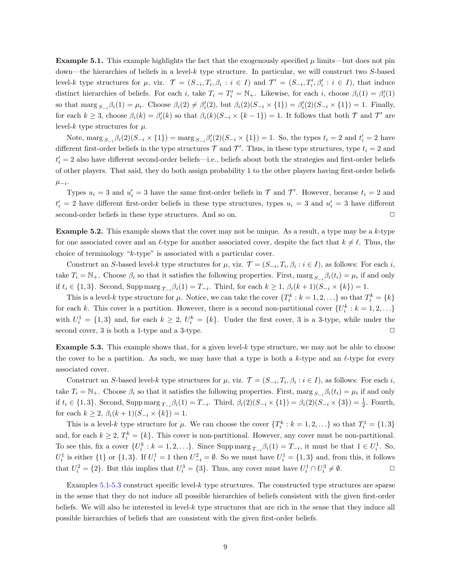<span id="page-8-0"></span>**Example 5.1.** This example highlights the fact that the exogenously specified  $\mu$  limits—but does not pin down—the hierarchies of beliefs in a level- $k$  type structure. In particular, we will construct two  $S$ -based level-k type structures for  $\mu$ , viz.  $\mathcal{T} = (S_{-i}, T_i, \beta_i : i \in I)$  and  $\mathcal{T}' = (S_{-i}, T'_i, \beta'_i : i \in I)$ , that induce distinct hierarchies of beliefs. For each i, take  $T_i = T'_i = N_+$ . Likewise, for each i, choose  $\beta_i(1) = \beta'_i(1)$ so that  $\max_{S_{-i}} \beta_i(1) = \mu_i$ . Choose  $\beta_i(2) \neq \beta'_i(2)$ , but  $\beta_i(2)(S_{-i} \times \{1\}) = \beta'_i(2)(S_{-i} \times \{1\}) = 1$ . Finally, for each  $k \geq 3$ , choose  $\beta_i(k) = \beta'_i(k)$  so that  $\beta_i(k)(S_{-i} \times \{k-1\}) = 1$ . It follows that both  $\mathcal T$  and  $\mathcal T'$  are level-k type structures for  $\mu$ .

Note,  $\max_{S_{-i}} \beta_i(2)(S_{-i} \times \{1\}) = \max_{S_{-i}} \beta'_i(2)(S_{-i} \times \{1\}) = 1$ . So, the types  $t_i = 2$  and  $t'_i = 2$  have different first-order beliefs in the type structures  $\mathcal T$  and  $\mathcal T'$ . Thus, in these type structures, type  $t_i = 2$  and  $t_i' = 2$  also have different second-order beliefs—i.e., beliefs about both the strategies and first-order beliefs of other players. That said, they do both assign probability 1 to the other players having first-order beliefs  $\mu_{-i}$ .

Types  $u_i = 3$  and  $u'_i = 3$  have the same first-order beliefs in  $\mathcal T$  and  $\mathcal T'$ . However, because  $t_i = 2$  and  $t'_{i} = 2$  have different first-order beliefs in these type structures, types  $u_{i} = 3$  and  $u'_{i} = 3$  have different second-order beliefs in these type structures. And so on.  $\Box$ 

**Example 5.2.** This example shows that the cover may not be unique. As a result, a type may be a  $k$ -type for one associated cover and an  $\ell$ -type for another associated cover, despite the fact that  $k \neq \ell$ . Thus, the choice of terminology "k-type" is associated with a particular cover.

Construct an S-based level-k type structures for  $\mu$ , viz.  $\mathcal{T} = (S_{-i}, T_i, \beta_i : i \in I)$ , as follows: For each i, take  $T_i = \mathbb{N}_+$ . Choose  $\beta_i$  so that it satisfies the following properties. First, marg  $s_{-i}\beta_i(t_i) = \mu_i$  if and only if  $t_i \in \{1,3\}$ . Second, Supp marg  $T_{-i}$ ,  $\beta_i(1) = T_{-i}$ . Third, for each  $k \geq 1$ ,  $\beta_i(k+1)(S_{-i} \times \{k\}) = 1$ .

This is a level-k type structure for  $\mu$ . Notice, we can take the cover  $\{T_i^k : k = 1, 2, ...\}$  so that  $T_i^k = \{k\}$ for each k. This cover is a partition. However, there is a second non-partitional cover  $\{U_i^k : k = 1, 2, \ldots\}$ with  $U_i^1 = \{1,3\}$  and, for each  $k \geq 2$ ,  $U_i^k = \{k\}$ . Under the first cover, 3 is a 3-type, while under the second cover, 3 is both a 1-type and a 3-type.  $\Box$ 

<span id="page-8-1"></span>**Example 5.3.** This example shows that, for a given level- $k$  type structure, we may not be able to choose the cover to be a partition. As such, we may have that a type is both a k-type and an  $\ell$ -type for every associated cover.

Construct an S-based level-k type structures for  $\mu$ , viz.  $\mathcal{T} = (S_{-i}, T_i, \beta_i : i \in I)$ , as follows: For each i, take  $T_i = \mathbb{N}_+$ . Choose  $\beta_i$  so that it satisfies the following properties. First, marg  $s_{-i}\beta_i(t_i) = \mu_i$  if and only if  $t_i \in \{1,3\}$ . Second, Supp marg  $T_{-i}$ ,  $\beta_i(1) = T_{-i}$ . Third,  $\beta_i(2)(S_{-i} \times \{1\}) = \beta_i(2)(S_{-i} \times \{3\}) = \frac{1}{2}$ . Fourth, for each  $k \geq 2$ ,  $\beta_i(k+1)(S_{-i} \times \{k\}) = 1$ .

This is a level-k type structure for  $\mu$ . We can choose the cover  $\{T_i^k : k = 1, 2, ...\}$  so that  $T_i^1 = \{1,3\}$ and, for each  $k \geq 2$ ,  $T_i^k = \{k\}$ . This cover is non-partitional. However, any cover must be non-partitional. To see this, fix a cover  $\{U_i^k : k = 1, 2, ...\}$ . Since Supp marg  $T_{-i} \beta_i(1) = T_{-i}$ , it must be that  $1 \in U_i^1$ . So,  $U_i^1$  is either  $\{1\}$  or  $\{1,3\}$ . If  $U_i^1 = 1$  then  $U_{-i}^2 = \emptyset$ . So we must have  $U_i^1 = \{1,3\}$  and, from this, it follows that  $U_i^2 = \{2\}$ . But this implies that  $U_i^3 = \{3\}$ . Thus, any cover must have  $U_i^1 \cap U_i^3 \neq \emptyset$ .

Examples  $5.1-5.3$  $5.1-5.3$  construct specific level- $k$  type structures. The constructed type structures are sparse in the sense that they do not induce all possible hierarchies of beliefs consistent with the given first-order beliefs. We will also be interested in level-k type structures that are rich in the sense that they induce all possible hierarchies of beliefs that are consistent with the given first-order beliefs.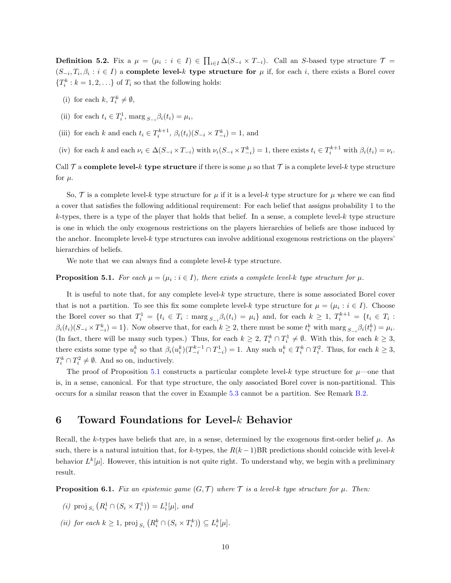<span id="page-9-3"></span>**Definition 5.2.** Fix a  $\mu = (\mu_i : i \in I) \in \prod_{i \in I} \Delta(S_{-i} \times T_{-i})$ . Call an S-based type structure  $\mathcal{T} =$  $(S_{-i}, T_i, \beta_i : i \in I)$  a complete level-k type structure for  $\mu$  if, for each i, there exists a Borel cover  ${T<sub>i</sub><sup>k</sup> : k = 1, 2, ...}$  of  $T<sub>i</sub>$  so that the following holds:

- <span id="page-9-4"></span>(i) for each  $k, T_i^k \neq \emptyset$ ,
- <span id="page-9-8"></span>(ii) for each  $t_i \in T_i^1$ , marg  $s_{-i} \beta_i(t_i) = \mu_i$ ,
- <span id="page-9-9"></span>(iii) for each k and each  $t_i \in T_i^{k+1}$ ,  $\beta_i(t_i)(S_{-i} \times T_{-i}^k) = 1$ , and
- <span id="page-9-2"></span>(iv) for each k and each  $\nu_i \in \Delta(S_{-i} \times T_{-i})$  with  $\nu_i(S_{-i} \times T_{-i}^k) = 1$ , there exists  $t_i \in T_i^{k+1}$  with  $\beta_i(t_i) = \nu_i$ .

Call  $\mathcal T$  a complete level-k type structure if there is some  $\mu$  so that  $\mathcal T$  is a complete level-k type structure for  $\mu$ .

So,  $\mathcal T$  is a complete level-k type structure for  $\mu$  if it is a level-k type structure for  $\mu$  where we can find a cover that satisfies the following additional requirement: For each belief that assigns probability 1 to the  $k$ -types, there is a type of the player that holds that belief. In a sense, a complete level- $k$  type structure is one in which the only exogenous restrictions on the players hierarchies of beliefs are those induced by the anchor. Incomplete level- $k$  type structures can involve additional exogenous restrictions on the players' hierarchies of beliefs.

We note that we can always find a complete level- $k$  type structure.

#### <span id="page-9-0"></span>**Proposition 5.1.** For each  $\mu = (\mu_i : i \in I)$ , there exists a complete level-k type structure for  $\mu$ .

It is useful to note that, for any complete level-k type structure, there is some associated Borel cover that is not a partition. To see this fix some complete level-k type structure for  $\mu = (\mu_i : i \in I)$ . Choose the Borel cover so that  $T_i^1 = \{t_i \in T_i : \text{marg}_{S_{-i}} \beta_i(t_i) = \mu_i\}$  and, for each  $k \geq 1$ ,  $T_i^{k+1} = \{t_i \in T_i : \text{marg}_{S_{-i}} \beta_i(t_i) = \mu_i\}$  $\beta_i(t_i)(S_{-i} \times T_{-i}^k) = 1$ . Now observe that, for each  $k \ge 2$ , there must be some  $t_i^k$  with marg  $s_{-i} \beta_i(t_i^k) = \mu_i$ . (In fact, there will be many such types.) Thus, for each  $k \geq 2$ ,  $T_i^k \cap T_i^1 \neq \emptyset$ . With this, for each  $k \geq 3$ , there exists some type  $u_i^k$  so that  $\beta_i(u_i^k)(T_{-i}^{k-1} \cap T_{-i}^1) = 1$ . Any such  $u_i^k \in T_i^k \cap T_i^2$ . Thus, for each  $k \geq 3$ ,  $T_i^k \cap T_i^2 \neq \emptyset$ . And so on, inductively.

The proof of Proposition [5.1](#page-9-0) constructs a particular complete level-k type structure for  $\mu$ —one that is, in a sense, canonical. For that type structure, the only associated Borel cover is non-partitional. This occurs for a similar reason that the cover in Example [5.3](#page-8-1) cannot be a partition. See Remark [B.2.](#page-17-0)

### <span id="page-9-5"></span>6 Toward Foundations for Level-k Behavior

Recall, the k-types have beliefs that are, in a sense, determined by the exogenous first-order belief  $\mu$ . As such, there is a natural intuition that, for k-types, the  $R(k-1)BR$  predictions should coincide with level-k behavior  $L^k[\mu]$ . However, this intuition is not quite right. To understand why, we begin with a preliminary result.

<span id="page-9-1"></span>**Proposition 6.1.** Fix an epistemic game  $(G, \mathcal{T})$  where  $\mathcal{T}$  is a level-k type structure for  $\mu$ . Then:

- <span id="page-9-6"></span>(*i*) proj<sub>S<sub>i</sub></sub>  $(R_i^1 \cap (S_i \times T_i^1)) = L_i^1[\mu]$ , and
- <span id="page-9-7"></span>(ii) for each  $k \geq 1$ , proj  $_{S_i} (R_i^k \cap (S_i \times T_i^k)) \subseteq L_i^k[\mu]$ .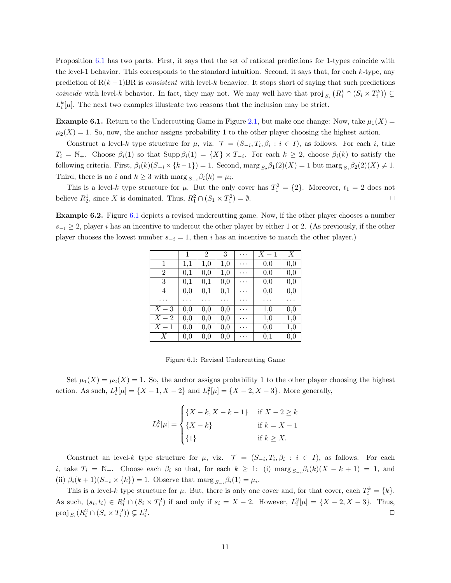Proposition [6.1](#page-9-1) has two parts. First, it says that the set of rational predictions for 1-types coincide with the level-1 behavior. This corresponds to the standard intuition. Second, it says that, for each  $k$ -type, any prediction of  $R(k-1)BR$  is consistent with level-k behavior. It stops short of saying that such predictions coincide with level-k behavior. In fact, they may not. We may well have that proj  $_{S_i} (R_i^k \cap (S_i \times T_i^k)) \subset$  $L_i^k[\mu]$ . The next two examples illustrate two reasons that the inclusion may be strict.

<span id="page-10-1"></span>**Example 6.1.** Return to the Undercutting Game in Figure [2.1,](#page-4-0) but make one change: Now, take  $\mu_1(X) =$  $\mu_2(X) = 1$ . So, now, the anchor assigns probability 1 to the other player choosing the highest action.

Construct a level-k type structure for  $\mu$ , viz.  $\mathcal{T} = (S_{-i}, T_i, \beta_i : i \in I)$ , as follows. For each i, take  $T_i = \mathbb{N}_+$ . Choose  $\beta_i(1)$  so that  $\text{Supp }\beta_i(1) = \{X\} \times T_{-i}$ . For each  $k \geq 2$ , choose  $\beta_i(k)$  to satisfy the following criteria. First,  $\beta_i(k)(S_{-i} \times \{k-1\}) = 1$ . Second, marg  $S_2 \beta_1(2)(X) = 1$  but marg  $S_1 \beta_2(2)(X) \neq 1$ . Third, there is no i and  $k \geq 3$  with  $\max_{S_{-i}} \beta_i(k) = \mu_i$ .

This is a level-k type structure for  $\mu$ . But the only cover has  $T_1^2 = \{2\}$ . Moreover,  $t_1 = 2$  does not believe  $R_2^1$ , since X is dominated. Thus,  $R_1^2 \cap (S_1 \times T_1^2) = \emptyset$ .

<span id="page-10-2"></span><span id="page-10-0"></span>Example 6.2. Figure [6.1](#page-10-0) depicts a revised undercutting game. Now, if the other player chooses a number  $s_{-i} \geq 2$ , player i has an incentive to undercut the other player by either 1 or 2. (As previously, if the other player chooses the lowest number  $s_{-i} = 1$ , then i has an incentive to match the other player.)

|                  | 1   | 2        | $\boldsymbol{3}$ | .        | $X-1$    | X   |
|------------------|-----|----------|------------------|----------|----------|-----|
| 1                | 1,1 | 1,0      | 1,0              | .        | 0,0      | 0,0 |
| $\overline{2}$   | 0,1 | 0,0      | 1,0              | .        | 0,0      | 0,0 |
| $\sqrt{3}$       | 0,1 | $_{0,1}$ | 0,0              | $\cdots$ | $_{0,0}$ | 0,0 |
| 4                | 0,0 | 0,1      | 0,1              | .        | 0,0      | 0,0 |
| .                | .   | .        | . .              | .        | .        | .   |
| $X-3$            | 0,0 | 0,0      | 0,0              | .        | 1,0      | 0,0 |
| $X-2$            | 0.0 | 0,0      | 0,0              | .        | 1,0      | 1,0 |
| $X-1$            | 0,0 | 0,0      | 0,0              | $\cdots$ | 0,0      | 1,0 |
| $\boldsymbol{X}$ | 0,0 | 0,0      | 0,0              | .        | $_{0,1}$ | 0,0 |

Figure 6.1: Revised Undercutting Game

Set  $\mu_1(X) = \mu_2(X) = 1$ . So, the anchor assigns probability 1 to the other player choosing the highest action. As such,  $L_i^1[\mu] = \{X - 1, X - 2\}$  and  $L_i^2[\mu] = \{X - 2, X - 3\}$ . More generally,

$$
L_i^k[\mu] = \begin{cases} \{X - k, X - k - 1\} & \text{if } X - 2 \ge k \\ \{X - k\} & \text{if } k = X - 1 \\ \{1\} & \text{if } k \ge X. \end{cases}
$$

Construct an level-k type structure for  $\mu$ , viz.  $\mathcal{T} = (S_{-i}, T_i, \beta_i : i \in I)$ , as follows. For each i, take  $T_i = \mathbb{N}_+$ . Choose each  $\beta_i$  so that, for each  $k \geq 1$ : (i)  $\max_{S_{-i}} \beta_i(k)(X - k + 1) = 1$ , and (ii)  $\beta_i(k+1)(S_{-i} \times \{k\}) = 1$ . Observe that marg  $S_{-i} \beta_i(1) = \mu_i$ .

This is a level-k type structure for  $\mu$ . But, there is only one cover and, for that cover, each  $T_i^k = \{k\}$ . As such,  $(s_i, t_i) \in R_i^2 \cap (S_i \times T_i^2)$  if and only if  $s_i = X - 2$ . However,  $L_i^2[\mu] = \{X - 2, X - 3\}$ . Thus, proj  $_{S_i}(R_i^2 \cap (S_i \times T_i^2)) \subsetneq L_i^2$ . The contract of the contract of the contract of the contract of the contract of the contract of the contract of the contract of the contract of the contract of the contract of the contract of the contract of the contrac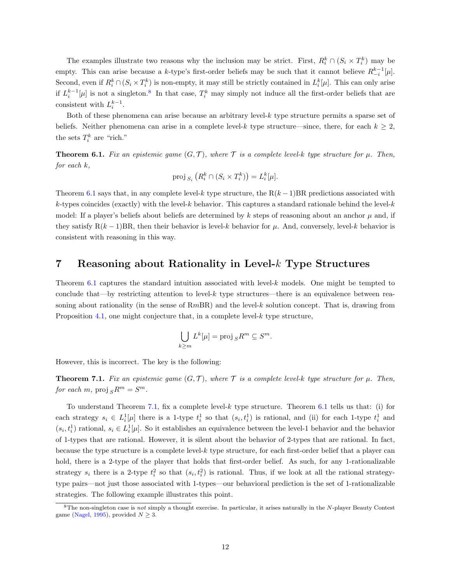The examples illustrate two reasons why the inclusion may be strict. First,  $R_i^k \cap (S_i \times T_i^k)$  may be empty. This can arise because a k-type's first-order beliefs may be such that it cannot believe  $R_{-i}^{k-1}[\mu]$ . Second, even if  $R_i^k \cap (S_i \times T_i^k)$  is non-empty, it may still be strictly contained in  $L_i^k[\mu]$ . This can only arise if  $L_i^{k-1}[\mu]$  is not a singleton.<sup>[8](#page-11-2)</sup> In that case,  $T_i^k$  may simply not induce all the first-order beliefs that are consistent with  $L_i^{k-1}$ .

Both of these phenomena can arise because an arbitrary level-k type structure permits a sparse set of beliefs. Neither phenomena can arise in a complete level-k type structure—since, there, for each  $k \geq 2$ , the sets  $T_i^k$  are "rich."

<span id="page-11-1"></span>**Theorem 6.1.** Fix an epistemic game  $(G, \mathcal{T})$ , where  $\mathcal{T}$  is a complete level-k type structure for  $\mu$ . Then, for each k,

$$
\operatorname{proj}_{S_i} \left( R_i^k \cap (S_i \times T_i^k) \right) = L_i^k[\mu].
$$

Theorem [6.1](#page-11-1) says that, in any complete level-k type structure, the  $R(k-1)BR$  predictions associated with  $k$ -types coincides (exactly) with the level-k behavior. This captures a standard rationale behind the level-k model: If a player's beliefs about beliefs are determined by k steps of reasoning about an anchor  $\mu$  and, if they satisfy  $R(k-1)BR$ , then their behavior is level-k behavior for  $\mu$ . And, conversely, level-k behavior is consistent with reasoning in this way.

### <span id="page-11-3"></span>7 Reasoning about Rationality in Level-k Type Structures

Theorem [6.1](#page-11-1) captures the standard intuition associated with level- $k$  models. One might be tempted to conclude that—by restricting attention to level-k type structures—there is an equivalence between reasoning about rationality (in the sense of  $RmBR$ ) and the level-k solution concept. That is, drawing from Proposition [4.1,](#page-6-0) one might conjecture that, in a complete level-k type structure,

$$
\bigcup_{k\geq m} L^k[\mu] = \text{proj}_S R^m \subseteq S^m.
$$

However, this is incorrect. The key is the following:

<span id="page-11-0"></span>**Theorem 7.1.** Fix an epistemic game  $(G, \mathcal{T})$ , where  $\mathcal{T}$  is a complete level-k type structure for  $\mu$ . Then, for each m,  $proj_{S}R^{m} = S^{m}$ .

To understand Theorem [7.1,](#page-11-0) fix a complete level- $k$  type structure. Theorem [6.1](#page-11-1) tells us that: (i) for each strategy  $s_i \in L_i^1[\mu]$  there is a 1-type  $t_i^1$  so that  $(s_i, t_i^1)$  is rational, and (ii) for each 1-type  $t_i^1$  and  $(s_i, t_i)$  rational,  $s_i \in L_i^1[\mu]$ . So it establishes an equivalence between the level-1 behavior and the behavior of 1-types that are rational. However, it is silent about the behavior of 2-types that are rational. In fact, because the type structure is a complete level-k type structure, for each first-order belief that a player can hold, there is a 2-type of the player that holds that first-order belief. As such, for any 1-rationalizable strategy  $s_i$  there is a 2-type  $t_i^2$  so that  $(s_i, t_i^2)$  is rational. Thus, if we look at all the rational strategytype pairs—not just those associated with 1-types—our behavioral prediction is the set of 1-rationalizable strategies. The following example illustrates this point.

<span id="page-11-2"></span> $8$ The non-singleton case is not simply a thought exercise. In particular, it arises naturally in the N-player Beauty Contest game [\(Nagel,](#page-22-0) [1995\)](#page-22-0), provided  $N \geq 3$ .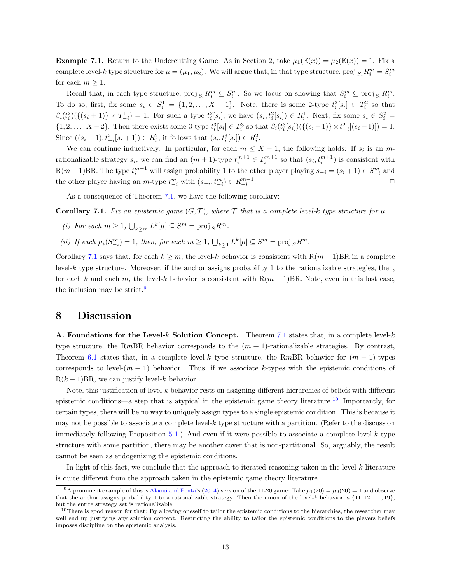**Example 7.1.** Return to the Undercutting Game. As in Section 2, take  $\mu_1(\mathbb{E}(x)) = \mu_2(\mathbb{E}(x)) = 1$ . Fix a complete level-k type structure for  $\mu = (\mu_1, \mu_2)$ . We will argue that, in that type structure, proj  $_{S_i}R_i^m = S_i^m$ for each  $m \geq 1$ .

Recall that, in each type structure,  $proj_{S_i} R_i^m \subseteq S_i^m$ . So we focus on showing that  $S_i^m \subseteq proj_{S_i} R_i^m$ . To do so, first, fix some  $s_i \in S_i^1 = \{1, 2, ..., X - 1\}$ . Note, there is some 2-type  $t_i^2[s_i] \in T_i^2$  so that  $\beta_i(t_i^2)(\{(s_i+1)\}\times T_{-i}^1) = 1.$  For such a type  $t_i^2[s_i]$ , we have  $(s_i,t_i^2[s_i]) \in R_i^1.$  Next, fix some  $s_i \in S_i^2 =$  $\{1, 2, \ldots, X-2\}$ . Then there exists some 3-type  $t_i^3[s_i] \in T_i^3$  so that  $\beta_i(t_i^3[s_i])(\{(s_i+1)\} \times t_{-i}^2[(s_i+1)]) = 1$ . Since  $((s_i + 1), t_{-i}^2 [s_i + 1]) \in R_i^2$ , it follows that  $(s_i, t_i^3 [s_i]) \in R_i^2$ .

We can continue inductively. In particular, for each  $m \leq X - 1$ , the following holds: If  $s_i$  is an mrationalizable strategy  $s_i$ , we can find an  $(m + 1)$ -type  $t_i^{m+1} \in T_i^{m+1}$  so that  $(s_i, t_i^{m+1})$  is consistent with  $R(m-1)BR$ . The type  $t_i^{m+1}$  will assign probability 1 to the other player playing  $s_{-i} = (s_i + 1) \in S_{-i}^m$  and the other player having an  $m$ -type  $t^{m}_{-i}$  with  $(s_{-i}, t^{m}_{-i}) \in R^{m-1}_{-i}$ . The contract of the contract of  $\Box$ 

As a consequence of Theorem [7.1,](#page-11-0) we have the following corollary:

<span id="page-12-0"></span>**Corollary 7.1.** Fix an epistemic game  $(G, \mathcal{T})$ , where  $\mathcal{T}$  that is a complete level-k type structure for  $\mu$ .

- (i) For each  $m \geq 1$ ,  $\bigcup_{k \geq m} L^k[\mu] \subseteq S^m = \text{proj}_S R^m$ .
- (ii) If each  $\mu_i(S_{-i}^{\infty}) = 1$ , then, for each  $m \geq 1$ ,  $\bigcup_{k \geq 1} L^k[\mu] \subseteq S^m = \text{proj}_S R^m$ .

Corollary [7.1](#page-12-0) says that, for each  $k \geq m$ , the level-k behavior is consistent with  $R(m-1)BR$  in a complete  $level-k$  type structure. Moreover, if the anchor assigns probability 1 to the rationalizable strategies, then, for each k and each m, the level-k behavior is consistent with  $R(m-1)BR$ . Note, even in this last case, the inclusion may be strict.<sup>[9](#page-12-1)</sup>

### <span id="page-12-3"></span>8 Discussion

A. Foundations for the Level-k Solution Concept. Theorem [7.1](#page-11-0) states that, in a complete level-k type structure, the RmBR behavior corresponds to the  $(m + 1)$ -rationalizable strategies. By contrast, Theorem [6.1](#page-11-1) states that, in a complete level-k type structure, the RmBR behavior for  $(m + 1)$ -types corresponds to level- $(m + 1)$  behavior. Thus, if we associate k-types with the epistemic conditions of  $R(k-1)BR$ , we can justify level-k behavior.

Note, this justification of level- $k$  behavior rests on assigning different hierarchies of beliefs with different epistemic conditions—a step that is atypical in the epistemic game theory literature.<sup>[10](#page-12-2)</sup> Importantly, for certain types, there will be no way to uniquely assign types to a single epistemic condition. This is because it may not be possible to associate a complete level- $k$  type structure with a partition. (Refer to the discussion immediately following Proposition [5.1.](#page-9-0)) And even if it were possible to associate a complete level- $k$  type structure with some partition, there may be another cover that is non-partitional. So, arguably, the result cannot be seen as endogenizing the epistemic conditions.

In light of this fact, we conclude that the approach to iterated reasoning taken in the level- $k$  literature is quite different from the approach taken in the epistemic game theory literature.

<span id="page-12-1"></span><sup>&</sup>lt;sup>9</sup>A prominent example of this is [Alaoui and Penta'](#page-22-13)s [\(2014\)](#page-22-13) version of the 11-20 game: Take  $\mu_1(20) = \mu_2(20) = 1$  and observe that the anchor assigns probability 1 to a rationalizable strategy. Then the union of the level-k behavior is  $\{11, 12, \ldots, 19\}$ , but the entire strategy set is rationalizable.

<span id="page-12-2"></span> $10$ There is good reason for that: By allowing oneself to tailor the epistemic conditions to the hierarchies, the researcher may well end up justifying any solution concept. Restricting the ability to tailor the epistemic conditions to the players beliefs imposes discipline on the epistemic analysis.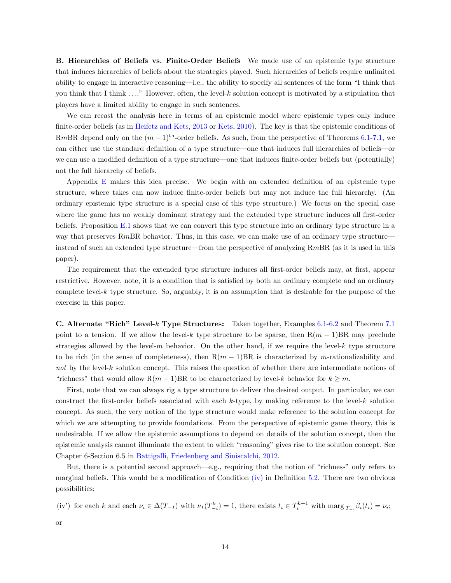B. Hierarchies of Beliefs vs. Finite-Order Beliefs We made use of an epistemic type structure that induces hierarchies of beliefs about the strategies played. Such hierarchies of beliefs require unlimited ability to engage in interactive reasoning—i.e., the ability to specify all sentences of the form "I think that you think that I think . . .." However, often, the level-k solution concept is motivated by a stipulation that players have a limited ability to engage in such sentences.

We can recast the analysis here in terms of an epistemic model where epistemic types only induce finite-order beliefs (as in [Heifetz and Kets,](#page-22-14) [2013](#page-22-14) or [Kets,](#page-22-15) [2010\)](#page-22-15). The key is that the epistemic conditions of RmBR depend only on the  $(m+1)$ <sup>th</sup>-order beliefs. As such, from the perspective of Theorems [6.1-](#page-11-1)[7.1,](#page-11-0) we can either use the standard definition of a type structure—one that induces full hierarchies of beliefs—or we can use a modified definition of a type structure—one that induces finite-order beliefs but (potentially) not the full hierarchy of beliefs.

Appendix [E](#page-19-1) makes this idea precise. We begin with an extended definition of an epistemic type structure, where takes can now induce finite-order beliefs but may not induce the full hierarchy. (An ordinary epistemic type structure is a special case of this type structure.) We focus on the special case where the game has no weakly dominant strategy and the extended type structure induces all first-order beliefs. Proposition [E.1](#page-19-2) shows that we can convert this type structure into an ordinary type structure in a way that preserves RmBR behavior. Thus, in this case, we can make use of an ordinary type structure instead of such an extended type structure—from the perspective of analyzing RmBR (as it is used in this paper).

The requirement that the extended type structure induces all first-order beliefs may, at first, appear restrictive. However, note, it is a condition that is satisfied by both an ordinary complete and an ordinary complete level-k type structure. So, arguably, it is an assumption that is desirable for the purpose of the exercise in this paper.

C. Alternate "Rich" Level-k Type Structures: Taken together, Examples [6.1-](#page-10-1)[6.2](#page-10-2) and Theorem [7.1](#page-11-0) point to a tension. If we allow the level-k type structure to be sparse, then  $R(m-1)BR$  may preclude strategies allowed by the level- $m$  behavior. On the other hand, if we require the level- $k$  type structure to be rich (in the sense of completeness), then  $R(m-1)BR$  is characterized by m-rationalizability and not by the level- $k$  solution concept. This raises the question of whether there are intermediate notions of "richness" that would allow  $R(m-1)BR$  to be characterized by level-k behavior for  $k \geq m$ .

First, note that we can always rig a type structure to deliver the desired output. In particular, we can construct the first-order beliefs associated with each k-type, by making reference to the level-k solution concept. As such, the very notion of the type structure would make reference to the solution concept for which we are attempting to provide foundations. From the perspective of epistemic game theory, this is undesirable. If we allow the epistemic assumptions to depend on details of the solution concept, then the epistemic analysis cannot illuminate the extent to which "reasoning" gives rise to the solution concept. See Chapter 6-Section 6.5 in [Battigalli, Friedenberg and Siniscalchi,](#page-22-6) [2012.](#page-22-6)

But, there is a potential second approach—e.g., requiring that the notion of "richness" only refers to marginal beliefs. This would be a modification of Condition [\(iv\)](#page-9-2) in Definition [5.2.](#page-9-3) There are two obvious possibilities:

(iv') for each k and each  $\nu_i \in \Delta(T_{-I})$  with  $\nu_I(T_{-i}^k) = 1$ , there exists  $t_i \in T_i^{k+1}$  with  $\max_{i \in I} \beta_i(t_i) = \nu_i$ ;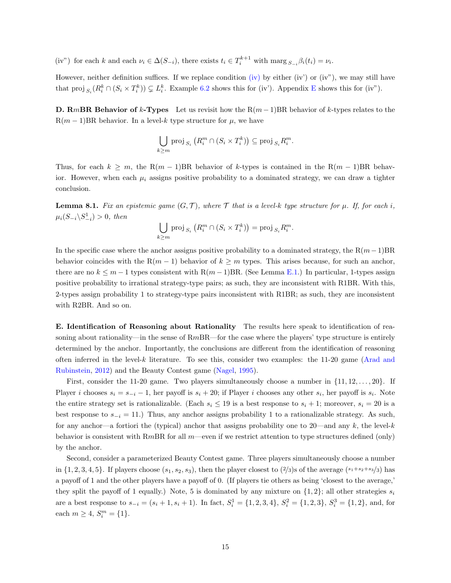(iv") for each k and each  $\nu_i \in \Delta(S_{-i})$ , there exists  $t_i \in T_i^{k+1}$  with  $\max_{S_{-i}} \beta_i(t_i) = \nu_i$ .

However, neither definition suffices. If we replace condition [\(iv\)](#page-9-2) by either (iv') or (iv"), we may still have that proj  $_{S_i}(R_i^k \cap (S_i \times T_i^k)) \subsetneq L_i^k$ . Example [6.2](#page-10-2) shows this for (iv'). Appendix [E](#page-19-1) shows this for (iv").

**D. RmBR Behavior of k-Types** Let us revisit how the  $R(m-1)BR$  behavior of k-types relates to the  $R(m-1)BR$  behavior. In a level-k type structure for  $\mu$ , we have

$$
\bigcup_{k \geq m} \operatorname{proj}_{S_i} \left( R_i^m \cap (S_i \times T_i^k) \right) \subseteq \operatorname{proj}_{S_i} R_i^m.
$$

Thus, for each  $k \geq m$ , the R $(m-1)$ BR behavior of k-types is contained in the R $(m-1)$ BR behavior. However, when each  $\mu_i$  assigns positive probability to a dominated strategy, we can draw a tighter conclusion.

<span id="page-14-0"></span>**Lemma 8.1.** Fix an epistemic game  $(G, \mathcal{T})$ , where  $\mathcal{T}$  that is a level-k type structure for  $\mu$ . If, for each i,  $\mu_i(S_{-i} \backslash S_{-i}^1) > 0$ , then

$$
\bigcup_{k \geq m} \operatorname{proj}_{S_i} \left( R_i^m \cap (S_i \times T_i^k) \right) = \operatorname{proj}_{S_i} R_i^m.
$$

In the specific case where the anchor assigns positive probability to a dominated strategy, the  $R(m-1)BR$ behavior coincides with the R $(m-1)$  behavior of  $k \geq m$  types. This arises because, for such an anchor, there are no  $k \leq m-1$  types consistent with  $R(m-1)BR$ . (See Lemma [E.1.](#page-21-0)) In particular, 1-types assign positive probability to irrational strategy-type pairs; as such, they are inconsistent with R1BR. With this, 2-types assign probability 1 to strategy-type pairs inconsistent with R1BR; as such, they are inconsistent with R2BR. And so on.

E. Identification of Reasoning about Rationality The results here speak to identification of reasoning about rationality—in the sense of  $RmBR$ —for the case where the players' type structure is entirely determined by the anchor. Importantly, the conclusions are different from the identification of reasoning often inferred in the level-k literature. To see this, consider two examples: the 11-20 game [\(Arad and](#page-22-7) [Rubinstein,](#page-22-7) [2012\)](#page-22-7) and the Beauty Contest game [\(Nagel,](#page-22-0) [1995\)](#page-22-0).

First, consider the 11-20 game. Two players simultaneously choose a number in  $\{11, 12, \ldots, 20\}$ . If Player i chooses  $s_i = s_{-i} - 1$ , her payoff is  $s_i + 20$ ; if Player i chooses any other  $s_i$ , her payoff is  $s_i$ . Note the entire strategy set is rationalizable. (Each  $s_i \leq 19$  is a best response to  $s_i + 1$ ; moreover,  $s_i = 20$  is a best response to  $s_{-i} = 11$ .) Thus, any anchor assigns probability 1 to a rationalizable strategy. As such, for any anchor—a fortiori the (typical) anchor that assigns probability one to 20—and any k, the level-k behavior is consistent with RmBR for all  $m$ —even if we restrict attention to type structures defined (only) by the anchor.

Second, consider a parameterized Beauty Contest game. Three players simultaneously choose a number in  $\{1, 2, 3, 4, 5\}$ . If players choose  $(s_1, s_2, s_3)$ , then the player closest to  $\{2/3\}$ s of the average  $(s_1+s_2+s_3/3)$  has a payoff of 1 and the other players have a payoff of 0. (If players tie others as being 'closest to the average,' they split the payoff of 1 equally.) Note, 5 is dominated by any mixture on  $\{1, 2\}$ ; all other strategies  $s_i$ are a best response to  $s_{-i} = (s_i + 1, s_i + 1)$ . In fact,  $S_i^1 = \{1, 2, 3, 4\}$ ,  $S_i^2 = \{1, 2, 3\}$ ,  $S_i^3 = \{1, 2\}$ , and, for each  $m \geq 4$ ,  $S_i^m = \{1\}$ .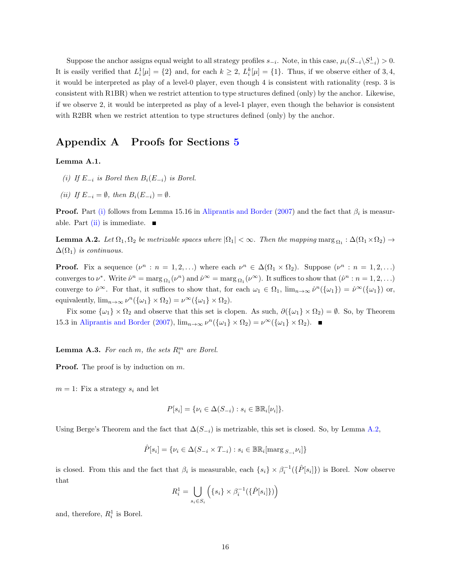Suppose the anchor assigns equal weight to all strategy profiles  $s_{-i}$ . Note, in this case,  $\mu_i(S_{-i}\backslash S_{-i}^1) > 0$ . It is easily verified that  $L_i^1[\mu] = \{2\}$  and, for each  $k \geq 2$ ,  $L_i^k[\mu] = \{1\}$ . Thus, if we observe either of 3, 4, it would be interpreted as play of a level-0 player, even though 4 is consistent with rationality (resp. 3 is consistent with R1BR) when we restrict attention to type structures defined (only) by the anchor. Likewise, if we observe 2, it would be interpreted as play of a level-1 player, even though the behavior is consistent with R2BR when we restrict attention to type structures defined (only) by the anchor.

### Appendix A Proofs for Sections [5](#page-7-1)

#### <span id="page-15-1"></span><span id="page-15-0"></span>Lemma A.1.

- (i) If  $E_{-i}$  is Borel then  $B_i(E_{-i})$  is Borel.
- <span id="page-15-2"></span>(ii) If  $E_{-i} = \emptyset$ , then  $B_i(E_{-i}) = \emptyset$ .

**Proof.** Part [\(i\)](#page-15-1) follows from Lemma 15.16 in [Aliprantis and Border](#page-22-16) [\(2007\)](#page-22-16) and the fact that  $\beta_i$  is measur-able. Part [\(ii\)](#page-15-2) is immediate.  $\blacksquare$ 

<span id="page-15-3"></span>**Lemma A.2.** Let  $\Omega_1, \Omega_2$  be metrizable spaces where  $|\Omega_1| < \infty$ . Then the mapping  $\max_{\Omega_1} : \Delta(\Omega_1 \times \Omega_2) \to$  $\Delta(\Omega_1)$  is continuous.

**Proof.** Fix a sequence  $(\nu^n : n = 1, 2, ...)$  where each  $\nu^n \in \Delta(\Omega_1 \times \Omega_2)$ . Suppose  $(\nu^n : n = 1, 2, ...)$ converges to  $\nu^*$ . Write  $\hat{\nu}^n = \max_{\Omega_1} (\nu^n)$  and  $\hat{\nu}^{\infty} = \max_{\Omega_1} (\nu^{\infty})$ . It suffices to show that  $(\hat{\nu}^n : n = 1, 2, ...)$ converge to  $\hat{\nu}^{\infty}$ . For that, it suffices to show that, for each  $\omega_1 \in \Omega_1$ ,  $\lim_{n\to\infty} \hat{\nu}^n(\{\omega_1\}) = \hat{\nu}^{\infty}(\{\omega_1\})$  or, equivalently,  $\lim_{n\to\infty} \nu^n(\{\omega_1\} \times \Omega_2) = \nu^\infty(\{\omega_1\} \times \Omega_2).$ 

Fix some  $\{\omega_1\} \times \Omega_2$  and observe that this set is clopen. As such,  $\partial(\{\omega_1\} \times \Omega_2) = \emptyset$ . So, by Theorem 15.3 in [Aliprantis and Border](#page-22-16) [\(2007\)](#page-22-16),  $\lim_{n\to\infty} \nu^n(\{\omega_1\} \times \Omega_2) = \nu^\infty(\{\omega_1\} \times \Omega_2)$ .

<span id="page-15-4"></span>**Lemma A.3.** For each m, the sets  $R_i^m$  are Borel.

**Proof.** The proof is by induction on m.

 $m = 1$ : Fix a strategy  $s_i$  and let

$$
P[s_i] = \{\nu_i \in \Delta(S_{-i}) : s_i \in \mathbb{BR}_i[\nu_i] \}.
$$

Using Berge's Theorem and the fact that  $\Delta(S_{-i})$  is metrizable, this set is closed. So, by Lemma [A.2,](#page-15-3)

$$
\hat{P}[s_i] = \{ \nu_i \in \Delta(S_{-i} \times T_{-i}) : s_i \in \mathbb{BR}_i[\text{marg } S_{-i} \nu_i] \}
$$

is closed. From this and the fact that  $\beta_i$  is measurable, each  $\{s_i\} \times \beta_i^{-1}(\{\hat{P}[s_i]\})$  is Borel. Now observe that

$$
R_i^1 = \bigcup_{s_i \in S_i} \left( \{ s_i \} \times \beta_i^{-1}(\{\hat{P}[s_i]\}) \right)
$$

and, therefore,  $R_i^1$  is Borel.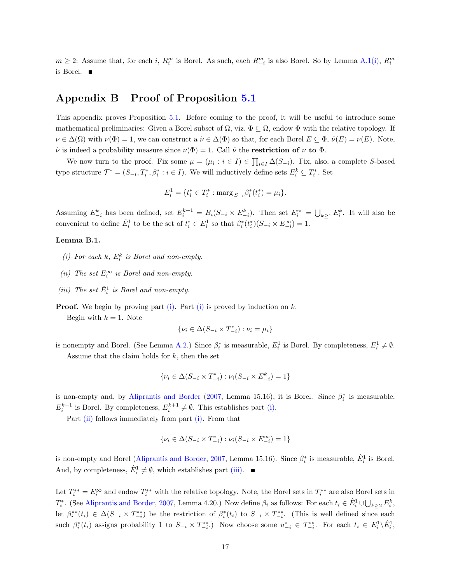$m \geq 2$ : Assume that, for each i,  $R_i^m$  is Borel. As such, each  $R_{-i}^m$  is also Borel. So by Lemma [A.1](#page-15-0)[\(i\),](#page-15-1)  $R_i^m$ is Borel.

# Appendix B Proof of Proposition [5.1](#page-9-0)

This appendix proves Proposition [5.1.](#page-9-0) Before coming to the proof, it will be useful to introduce some mathematical preliminaries: Given a Borel subset of  $\Omega$ , viz.  $\Phi \subseteq \Omega$ , endow  $\Phi$  with the relative topology. If  $\nu \in \Delta(\Omega)$  with  $\nu(\Phi) = 1$ , we can construct a  $\tilde{\nu} \in \Delta(\Phi)$  so that, for each Borel  $E \subseteq \Phi$ ,  $\tilde{\nu}(E) = \nu(E)$ . Note,  $\tilde{\nu}$  is indeed a probability measure since  $\nu(\Phi) = 1$ . Call  $\tilde{\nu}$  the **restriction of**  $\nu$  to  $\Phi$ .

We now turn to the proof. Fix some  $\mu = (\mu_i : i \in I) \in \prod_{i \in I} \Delta(S_{-i})$ . Fix, also, a complete S-based type structure  $\mathcal{T}^* = (S_{-i}, T_i^*, \beta_i^* : i \in I)$ . We will inductively define sets  $E_i^k \subseteq T_i^*$ . Set

$$
E_i^1 = \{ t_i^* \in T_i^* : \text{marg}_{S_{-i}} \beta_i^*(t_i^*) = \mu_i \}.
$$

Assuming  $E_{-i}^k$  has been defined, set  $E_i^{k+1} = B_i(S_{-i} \times E_{-i}^k)$ . Then set  $E_i^{\infty} = \bigcup_{k \geq 1} E_i^k$ . It will also be convenient to define  $\hat{E}_i^1$  to be the set of  $t_i^* \in E_i^1$  so that  $\beta_i^*(t_i^*)(S_{-i} \times E_{-i}^{\infty}) = 1$ .

#### <span id="page-16-0"></span>Lemma B.1.

- (i) For each  $k$ ,  $E_i^k$  is Borel and non-empty.
- <span id="page-16-1"></span>(ii) The set  $E_i^{\infty}$  is Borel and non-empty.
- <span id="page-16-2"></span>(iii) The set  $\hat{E}_i^1$  is Borel and non-empty.

**Proof.** We begin by proving part [\(i\).](#page-16-0) Part [\(i\)](#page-16-0) is proved by induction on  $k$ .

Begin with  $k = 1$ . Note

$$
\{\nu_i\in\Delta(S_{-i}\times T_{-i}^*): \nu_i=\mu_i\}
$$

is nonempty and Borel. (See Lemma [A.2.](#page-15-3)) Since  $\beta_i^*$  is measurable,  $E_i^1$  is Borel. By completeness,  $E_i^1 \neq \emptyset$ . Assume that the claim holds for  $k$ , then the set

$$
\{\nu_i \in \Delta(S_{-i} \times T_{-i}^*) : \nu_i(S_{-i} \times E_{-i}^k) = 1\}
$$

is non-empty and, by [Aliprantis and Border](#page-22-16) [\(2007,](#page-22-16) Lemma 15.16), it is Borel. Since  $\beta_i^*$  is measurable,  $E_i^{k+1}$  is Borel. By completeness,  $E_i^{k+1} \neq \emptyset$ . This establishes part [\(i\).](#page-16-0)

Part [\(ii\)](#page-16-1) follows immediately from part [\(i\).](#page-16-0) From that

$$
\{\nu_i\in\Delta(S_{-i}\times T_{-i}^*): \nu_i(S_{-i}\times E_{-i}^\infty)=1\}
$$

is non-empty and Borel [\(Aliprantis and Border,](#page-22-16) [2007,](#page-22-16) Lemma 15.16). Since  $\beta_i^*$  is measurable,  $\hat{E}_i^1$  is Borel. And, by completeness,  $\hat{E}_i^1 \neq \emptyset$ , which establishes part [\(iii\).](#page-16-2)

Let  $T_i^{**} = E_i^{\infty}$  and endow  $T_i^{**}$  with the relative topology. Note, the Borel sets in  $T_i^{**}$  are also Borel sets in  $T_i^*$ . (See [Aliprantis and Border,](#page-22-16) [2007,](#page-22-16) Lemma 4.20.) Now define  $\beta_i$  as follows: For each  $t_i \in \hat{E}_i^1 \cup \bigcup_{k \geq 2} E_i^k$ , let  $\beta_i^{*}(t_i) \in \Delta(S_{-i} \times T_{-i}^{**})$  be the restriction of  $\beta_i^{*}(t_i)$  to  $S_{-i} \times T_{-i}^{**}$ . (This is well defined since each such  $\beta_i^*(t_i)$  assigns probability 1 to  $S_{-i} \times T_{-i}^{**}$ . Now choose some  $u_{-i}^* \in T_{-i}^{**}$ . For each  $t_i \in E_i^1 \backslash \hat{E}_i^1$ ,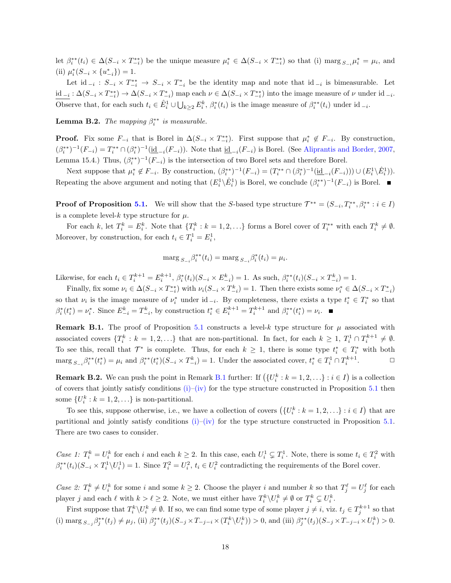let  $\beta_i^{**}(t_i) \in \Delta(S_{-i} \times T_{-i}^{**})$  be the unique measure  $\mu_i^* \in \Delta(S_{-i} \times T_{-i}^{**})$  so that (i) marg  $_{S-i}\mu_i^* = \mu_i$ , and (ii)  $\mu_i^*(S_{-i} \times \{u_{-i}^*\}) = 1.$ 

Let  $\mathrm{id}_{-i}: S_{-i} \times T_{-i}^* \to S_{-i} \times T_{-i}^*$  be the identity map and note that  $\mathrm{id}_{-i}$  is bimeasurable. Let  $\underline{\text{id}_{-i}}: \Delta(S_{-i} \times T_{-i}^*) \to \Delta(S_{-i} \times T_{-i}^*)$  map each  $\nu \in \Delta(S_{-i} \times T_{-i}^{**})$  into the image measure of  $\nu$  under  $\text{id}_{-i}$ . Observe that, for each such  $t_i \in \hat{E}_i^1 \cup \bigcup_{k \geq 2} E_i^k$ ,  $\beta_i^*(t_i)$  is the image measure of  $\beta_i^{**}(t_i)$  under id  $_{-i}$ .

**Lemma B.2.** The mapping  $\beta_i^{**}$  is measurable.

**Proof.** Fix some  $F_{-i}$  that is Borel in  $\Delta(S_{-i} \times T_{-i}^{**})$ . First suppose that  $\mu_i^* \notin F_{-i}$ . By construction,  $(\beta_i^{**})^{-1}(F_{-i}) = T_i^{**} \cap (\beta_i^{*})^{-1}(\underline{id}_{-i}(F_{-i}))$ . Note that  $\underline{id}_{-i}(F_{-i})$  is Borel. (See [Aliprantis and Border,](#page-22-16) [2007,](#page-22-16) Lemma 15.4.) Thus,  $(\beta_i^{**})^{-1}(F_{-i})$  is the intersection of two Borel sets and therefore Borel.

Next suppose that  $\mu_i^* \notin F_{-i}$ . By construction,  $(\beta_i^{**})^{-1}(F_{-i}) = (T_i^{**} \cap (\beta_i^*)^{-1}(\underline{id}_{-i}(F_{-i}))) \cup (E_i^1 \setminus \hat{E}_i^1)$ . Repeating the above argument and noting that  $(E_i^1 \setminus \hat{E}_i^1)$  is Borel, we conclude  $(\beta_i^{**})^{-1}(F_{-i})$  is Borel.

**Proof of Proposition [5.1.](#page-9-0)** We will show that the S-based type structure  $\mathcal{T}^{**} = (S_{-i}, T_i^{**}, \beta_i^{**} : i \in I)$ is a complete level- $k$  type structure for  $\mu$ .

For each k, let  $T_i^k = E_i^k$ . Note that  $\{T_i^k : k = 1, 2, \ldots\}$  forms a Borel cover of  $T_i^{**}$  with each  $T_i^k \neq \emptyset$ . Moreover, by construction, for each  $t_i \in T_i^1 = E_i^1$ ,

$$
\operatorname{marg}_{S_{-i}} \beta_i^{**}(t_i) = \operatorname{marg}_{S_{-i}} \beta_i^{*}(t_i) = \mu_i.
$$

Likewise, for each  $t_i \in T_i^{k+1} = E_i^{k+1}$ ,  $\beta_i^*(t_i)(S_{-i} \times E_{-i}^k) = 1$ . As such,  $\beta_i^{**}(t_i)(S_{-i} \times T_{-i}^k) = 1$ .

Finally, fix some  $\nu_i \in \Delta(S_{-i} \times T_{-i}^{**})$  with  $\nu_i(S_{-i} \times T_{-i}^k) = 1$ . Then there exists some  $\nu_i^* \in \Delta(S_{-i} \times T_{-i}^*)$ so that  $\nu_i$  is the image measure of  $\nu_i^*$  under id  $_{-i}$ . By completeness, there exists a type  $t_i^* \in T_i^*$  so that  $\beta_i^*(t_i^*) = \nu_i^*$ . Since  $E_{-i}^k = T_{-i}^k$ , by construction  $t_i^* \in E_i^{k+1} = T_i^{k+1}$  and  $\beta_i^{**}(t_i^*) = \nu_i$ .

<span id="page-17-1"></span>**Remark B.1.** The proof of Proposition [5.1](#page-9-0) constructs a level-k type structure for  $\mu$  associated with associated covers  $\{T_i^k : k = 1, 2, ...\}$  that are non-partitional. In fact, for each  $k \geq 1$ ,  $T_i^1 \cap T_i^{k+1} \neq \emptyset$ . To see this, recall that  $\mathcal{T}^*$  is complete. Thus, for each  $k \geq 1$ , there is some type  $t_i^* \in T_i^*$  with both  $\max_{S_{-i}} \beta_i^{**}(t_i^*) = \mu_i$  and  $\beta_i^{**}(t_i^*)(S_{-i} \times T_{-i}^k) = 1$ . Under the associated cover,  $t_i^* \in T_i^1 \cap T_i^{k+1}$  $\Box$ 

<span id="page-17-0"></span>**Remark B.2.** We can push the point in Remark [B.1](#page-17-1) further: If  $(\{U_i^k : k = 1, 2, ...\} : i \in I)$  is a collection of covers that jointly satisfy conditions  $(i)$ [–\(iv\)](#page-9-2) for the type structure constructed in Proposition [5.1](#page-9-0) then some  $\{U_i^k : k = 1, 2, \ldots\}$  is non-partitional.

To see this, suppose otherwise, i.e., we have a collection of covers  $(\{U_i^k : k = 1, 2, ...\} : i \in I)$  that are partitional and jointly satisfy conditions  $(i)$ –[\(iv\)](#page-9-2) for the type structure constructed in Proposition [5.1.](#page-9-0) There are two cases to consider.

Case 1:  $T_i^k = U_i^k$  for each i and each  $k \geq 2$ . In this case, each  $U_i^1 \subsetneq T_i^1$ . Note, there is some  $t_i \in T_i^2$  with  $\beta_i^{**}(t_i)(S_{-i} \times T_i^1 \setminus U_i^1) = 1$ . Since  $T_i^2 = U_i^2$ ,  $t_i \in U_i^2$  contradicting the requirements of the Borel cover.

Case 2:  $T_i^k \neq U_i^k$  for some i and some  $k \geq 2$ . Choose the player i and number k so that  $T_j^{\ell} = U_j^{\ell}$  for each player j and each  $\ell$  with  $k > \ell \geq 2$ . Note, we must either have  $T_i^k \setminus U_i^k \neq \emptyset$  or  $T_i^k \subsetneq U_i^k$ .

First suppose that  $T_i^k \setminus U_i^k \neq \emptyset$ . If so, we can find some type of some player  $j \neq i$ , viz.  $t_j \in T_j^{k+1}$  so that (i)  $\max_{S_{-j}} \beta_j^{**}(t_j) \neq \mu_j$ , (ii)  $\beta_j^{**}(t_j)(S_{-j} \times T_{-j-i} \times (T_i^k \setminus U_i^k)) > 0$ , and (iii)  $\beta_j^{**}(t_j)(S_{-j} \times T_{-j-i} \times U_i^k) > 0$ .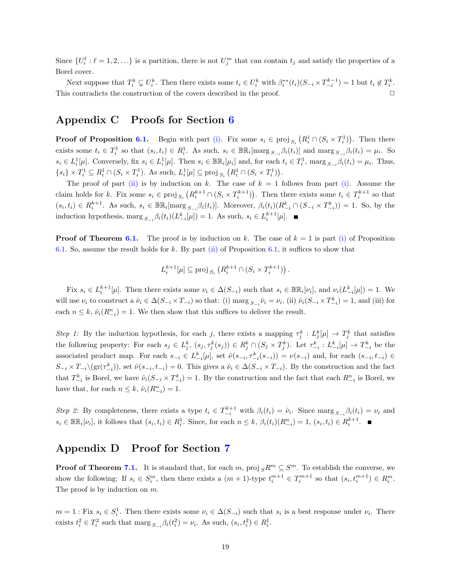Since  $\{U_i^{\ell} : \ell = 1, 2, \ldots\}$  is a partition, there is not  $U_j^m$  that can contain  $t_j$  and satisfy the properties of a Borel cover.

Next suppose that  $T_i^k \subsetneq U_i^k$ . Then there exists some  $t_i \in U_i^k$  with  $\beta_i^{**}(t_i)(S_{-i} \times T_{-i}^{k-1}) = 1$  but  $t_i \notin T_i^k$ . This contradicts the construction of the covers described in the proof.  $\Box$ 

## Appendix C Proofs for Section [6](#page-9-5)

**Proof of Proposition [6.1.](#page-9-1)** Begin with part [\(i\).](#page-9-6) Fix some  $s_i \in \text{proj}_{S_i} (R_i^1 \cap (S_i \times T_i^1))$ . Then there exists some  $t_i \in T_i^1$  so that  $(s_i, t_i) \in R_i^1$ . As such,  $s_i \in \mathbb{BR}_i$ [marg  $s_{-i} \beta_i(t_i)$ ] and marg  $s_{-i} \beta_i(t_i) = \mu_i$ . So  $s_i \in L_i^1[\mu]$ . Conversely, fix  $s_i \in L_i^1[\mu]$ . Then  $s_i \in \mathbb{BR}_i[\mu_i]$  and, for each  $t_i \in T_i^1$ , marg  $s_{-i} \beta_i(t_i) = \mu_i$ . Thus,  $\{s_i\} \times T_i^1 \subseteq R_i^1 \cap (S_i \times T_i^1)$ . As such,  $L_i^1[\mu] \subseteq \text{proj}_{S_i} (R_i^1 \cap (S_i \times T_i^1))$ .

The proof of part [\(ii\)](#page-9-7) is by induction on k. The case of  $k = 1$  follows from part [\(i\).](#page-9-6) Assume the claim holds for k. Fix some  $s_i \in \text{proj}_{S_i} (R_i^{k+1} \cap (S_i \times T_i^{k+1}))$ . Then there exists some  $t_i \in T_i^{k+1}$  so that  $(s_i, t_i) \in R_i^{k+1}$ . As such,  $s_i \in \mathbb{BR}_i$ [marg  $s_{-i} \beta_i(t_i)$ ]. Moreover,  $\beta_i(t_i)(R_{-i}^k \cap (S_{-i} \times T_{-i}^k)) = 1$ . So, by the induction hypothesis, marg  $s_{-i}\beta_i(t_i)(L_{-i}^k[\mu]) = 1$ . As such,  $s_i \in L_i^{k+1}[\mu]$ .

**Proof of Theorem [6.1.](#page-11-1)** The proof is by induction on k. The case of  $k = 1$  is part [\(i\)](#page-9-6) of Proposition [6.1.](#page-9-1) So, assume the result holds for k. By part [\(ii\)](#page-9-7) of Proposition [6.1,](#page-9-1) it suffices to show that

$$
L_i^{k+1}[\mu] \subseteq \text{proj}_{S_i} (R_i^{k+1} \cap (S_i \times T_i^{k+1})).
$$

Fix  $s_i \in L_i^{k+1}[\mu]$ . Then there exists some  $\nu_i \in \Delta(S_{-i})$  such that  $s_i \in \mathbb{BR}_i[\nu_i]$ , and  $\nu_i(L_{-i}^k[\mu]) = 1$ . We will use  $\nu_i$  to construct a  $\hat{\nu}_i \in \Delta(S_{-i} \times T_{-i})$  so that: (i)  $\max_{S_{-i}} \hat{\nu}_i = \nu_i$ , (ii)  $\hat{\nu}_i(S_{-i} \times T_{-i}^k) = 1$ , and (iii) for each  $n \leq k$ ,  $\hat{\nu}_i(R_{-i}^n) = 1$ . We then show that this suffices to deliver the result.

Step 1: By the induction hypothesis, for each j, there exists a mapping  $\tau_j^k : L_j^k[\mu] \to T_j^k$  that satisfies the following property: For each  $s_j \in L_j^k$ ,  $(s_j, \tau_j^k(s_j)) \in R_j^k \cap (S_j \times T_j^k)$ . Let  $\tau_{-i}^k : L_{-i}^k[\mu] \to T_{-i}^k$  be the associated product map. For each  $s_{-i} \in L_{-i}^k[\mu]$ , set  $\hat{\nu}(s_{-i}, \tau_{-i}^k(s_{-i})) = \nu(s_{-i})$  and, for each  $(s_{-i}, t_{-i}) \in$  $S_{-i} \times T_{-i} \setminus (\text{gr}(\tau_{-i}^k))$ , set  $\hat{\nu}(s_{-i}, t_{-i}) = 0$ . This gives a  $\hat{\nu}_i \in \Delta(S_{-i} \times T_{-i})$ . By the construction and the fact that  $T_{-i}^k$  is Borel, we have  $\hat{\nu}_i(S_{-i} \times T_{-i}^k) = 1$ . By the construction and the fact that each  $R_{-i}^n$  is Borel, we have that, for each  $n \leq k$ ,  $\hat{\nu}_i(R_{-i}^n) = 1$ .

Step 2: By completeness, there exists a type  $t_i \in T_{-i}^{k+1}$  with  $\beta_i(t_i) = \hat{\nu}_i$ . Since marg  $s_{-i} \beta_i(t_i) = \nu_i$  and  $s_i \in \mathbb{BR}_i[\nu_i]$ , it follows that  $(s_i, t_i) \in R_i^1$ . Since, for each  $n \leq k$ ,  $\beta_i(t_i)(R_{-i}^n) = 1$ ,  $(s_i, t_i) \in R_i^{k+1}$ .

### Appendix D Proof for Section [7](#page-11-3)

**Proof of Theorem [7.1.](#page-11-0)** It is standard that, for each m,  $\text{proj}_{S} R^{m} \subseteq S^{m}$ . To establish the converse, we show the following: If  $s_i \in S_i^m$ , then there exists a  $(m+1)$ -type  $t_i^{m+1} \in T_i^{m+1}$  so that  $(s_i, t_i^{m+1}) \in R_i^m$ . The proof is by induction on  $m$ .

 $m = 1$ : Fix  $s_i \in S_i^1$ . Then there exists some  $\nu_i \in \Delta(S_{-i})$  such that  $s_i$  is a best response under  $\nu_i$ . There exists  $t_i^2 \in T_i^2$  such that marg  $s_{-i} \beta_i(t_i^2) = \nu_i$ . As such,  $(s_i, t_i^2) \in R_i^1$ .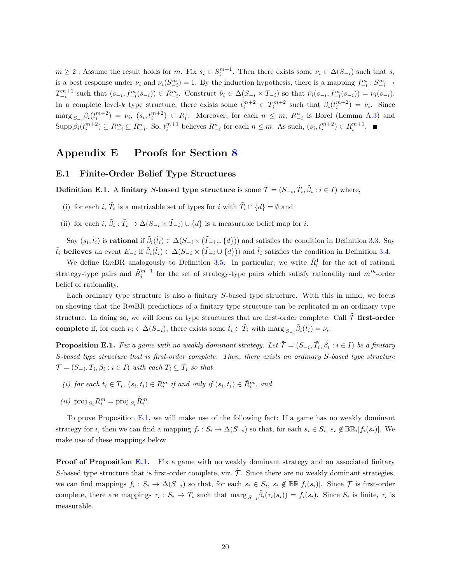$m \geq 2$ : Assume the result holds for m. Fix  $s_i \in S_i^{m+1}$ . Then there exists some  $\nu_i \in \Delta(S_{-i})$  such that  $s_i$ is a best response under  $\nu_i$  and  $\nu_i(S_{-i}^m) = 1$ . By the induction hypothesis, there is a mapping  $f_{-i}^m : S_{-i}^m \to$  $T_{-i}^{m+1}$  such that  $(s_{-i}, f_{-i}^m(s_{-i})) \in R_{-i}^m$ . Construct  $\hat{\nu}_i \in \Delta(S_{-i} \times T_{-i})$  so that  $\hat{\nu}_i(s_{-i}, f_{-i}^m(s_{-i})) = \nu_i(s_{-i}).$ In a complete level-k type structure, there exists some  $t_i^{m+2} \in T_i^{m+2}$  such that  $\beta_i(t_i^{m+2}) = \hat{\nu}_i$ . Since  $\max_{S_{-i}} \beta_i(t_i^{m+2}) = \nu_i, (s_i, t_i^{m+2}) \in R_i^1$ . Moreover, for each  $n \leq m$ ,  $R_{-i}^n$  is Borel (Lemma [A.3\)](#page-15-4) and  $\text{Supp }\beta_i(t_i^{m+2}) \subseteq R_{-i}^m \subseteq R_{-i}^n$ . So,  $t_i^{m+1}$  believes  $R_{-i}^n$  for each  $n \leq m$ . As such,  $(s_i, t_i^{m+2}) \in R_i^{m+1}$ .

## <span id="page-19-1"></span>Appendix E Proofs for Section [8](#page-12-3)

### <span id="page-19-0"></span>E.1 Finite-Order Belief Type Structures

Definition E.1. A finitary S-based type structure is some  $\tilde{\mathcal{T}} = (S_{-i}, \tilde{T}_i, \tilde{\beta}_i : i \in I)$  where,

- (i) for each *i*,  $\tilde{T}_i$  is a metrizable set of types for *i* with  $\tilde{T}_i \cap \{d\} = \emptyset$  and
- (ii) for each  $i, \tilde{\beta}_i : \tilde{T}_i \to \Delta(S_{-i} \times \tilde{T}_{-i}) \cup \{d\}$  is a measurable belief map for i.

Say  $(s_i, \tilde{t}_i)$  is **rational** if  $\tilde{\beta}_i(\tilde{t}_i) \in \Delta(S_{-i} \times (\tilde{T}_{-i} \cup \{d\}))$  and satisfies the condition in Definition [3.3.](#page-5-3) Say  $\tilde{t}_i$  believes an event  $E_{-i}$  if  $\tilde{\beta}_i(\tilde{t}_i) \in \Delta(S_{-i} \times (\tilde{T}_{-i} \cup \{d\}))$  and  $\tilde{t}_i$  satisfies the condition in Definition [3.4.](#page-5-4)

We define RmBR analogously to Definition [3.5.](#page-6-1) In particular, we write  $\tilde{R}_i^1$  for the set of rational strategy-type pairs and  $\tilde{R}_i^{m+1}$  for the set of strategy-type pairs which satisfy rationality and  $m<sup>th</sup>$ -order belief of rationality.

Each ordinary type structure is also a finitary S-based type structure. With this in mind, we focus on showing that the RmBR predictions of a finitary type structure can be replicated in an ordinary type structure. In doing so, we will focus on type structures that are first-order complete: Call  $\tilde{\mathcal{T}}$  first-order complete if, for each  $\nu_i \in \Delta(S_{-i})$ , there exists some  $\tilde{t}_i \in \tilde{T}_i$  with  $\max_{S_{-i}} \tilde{\beta}_i(\tilde{t}_i) = \nu_i$ .

<span id="page-19-2"></span>**Proposition E.1.** Fix a game with no weakly dominant strategy. Let  $\tilde{\mathcal{T}} = (S_{-i}, \tilde{T}_i, \tilde{\beta}_i : i \in I)$  be a finitary S-based type structure that is first-order complete. Then, there exists an ordinary S-based type structure  $\mathcal{T} = (S_{-i}, T_i, \beta_i : i \in I)$  with each  $T_i \subseteq \tilde{T}_i$  so that

- (i) for each  $t_i \in T_i$ ,  $(s_i, t_i) \in R_i^m$  if and only if  $(s_i, t_i) \in \tilde{R}_i^m$ , and
- $\label{eq:2} \left( ii\right)\ \mathrm{proj\,}_{S_i}R_i^m = \mathrm{proj\,}_{S_i}\tilde{R}_i^m.$

To prove Proposition [E.1,](#page-19-2) we will make use of the following fact: If a game has no weakly dominant strategy for *i*, then we can find a mapping  $f_i : S_i \to \Delta(S_{-i})$  so that, for each  $s_i \in S_i$ ,  $s_i \notin \mathbb{BR}_i[f_i(s_i)]$ . We make use of these mappings below.

**Proof of Proposition [E.1.](#page-19-2)** Fix a game with no weakly dominant strategy and an associated finitary S-based type structure that is first-order complete, viz.  $\tilde{\mathcal{T}}$ . Since there are no weakly dominant strategies, we can find mappings  $f_i: S_i \to \Delta(S_{-i})$  so that, for each  $s_i \in S_i$ ,  $s_i \notin \mathbb{BR}[f_i(s_i)]$ . Since  $\mathcal T$  is first-order complete, there are mappings  $\tau_i : S_i \to \tilde{T}_i$  such that marg  $s_{-i} \tilde{\beta}_i(\tau_i(s_i)) = f_i(s_i)$ . Since  $S_i$  is finite,  $\tau_i$  is measurable.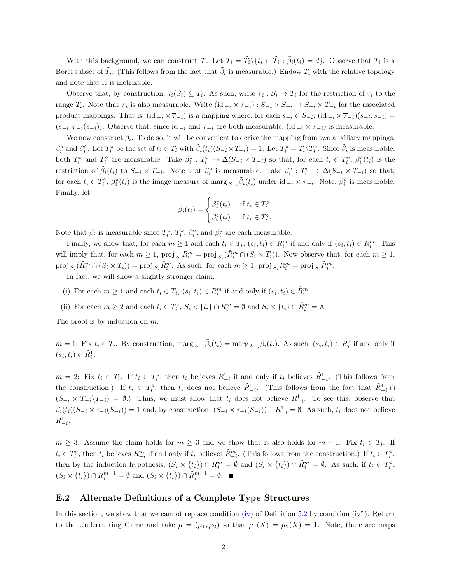With this background, we can construct T. Let  $T_i = \tilde{T}_i \setminus \{t_i \in \tilde{T}_i : \tilde{\beta}_i(t_i) = d\}$ . Observe that  $T_i$  is a Borel subset of  $\tilde{T}_i$ . (This follows from the fact that  $\tilde{\beta}_i$  is measurable.) Endow  $T_i$  with the relative topology and note that it is metrizable.

Observe that, by construction,  $\tau_i(S_i) \subseteq T_i$ . As such, write  $\overline{\tau}_i : S_i \to T_i$  for the restriction of  $\tau_i$  to the range  $T_i$ . Note that  $\overline{\tau}_i$  is also measurable. Write  $(id_{-i} \times \overline{\tau}_{-i}) : S_{-i} \times S_{-i} \to S_{-i} \times T_{-i}$  for the associated product mappings. That is,  $(id_{-i} \times \overline{\tau}_{-i})$  is a mapping where, for each  $s_{-i} \in S_{-i}$ ,  $(id_{-i} \times \overline{\tau}_{-i})(s_{-i}, s_{-i})$  $(s_{-i}, \overline{\tau}_{-i}(s_{-i}))$ . Observe that, since id  $_{-i}$  and  $\overline{\tau}_{-i}$  are both measurable, (id  $_{-i} \times \overline{\tau}_{-i}$ ) is measurable.

We now construct  $\beta_i$ . To do so, it will be convenient to derive the mapping from two auxiliary mappings,  $\beta_i^{\circ}$  and  $\beta_i^{\circ}$ . Let  $T_i^{\circ}$  be the set of  $t_i \in T_i$  with  $\tilde{\beta}_i(t_i)(S_{-i} \times T_{-i}) = 1$ . Let  $T_i^{\circ} = T_i \setminus T_i^{\circ}$ . Since  $\tilde{\beta}_i$  is measurable, both  $T_i^{\circ}$  and  $T_i^{\circ}$  are measurable. Take  $\beta_i^{\circ} : T_i^{\circ} \to \Delta(S_{-i} \times T_{-i})$  so that, for each  $t_i \in T_i^{\circ}$ ,  $\beta_i^{\circ}(t_i)$  is the restriction of  $\tilde{\beta}_i(t_i)$  to  $S_{-i} \times T_{-i}$ . Note that  $\beta_i^{\circ}$  is measurable. Take  $\beta_i^{\circ} : T_i^{\circ} \to \Delta(S_{-i} \times T_{-i})$  so that, for each  $t_i \in T_i^{\diamond}, \beta_i^{\diamond}(t_i)$  is the image measure of marg  $s_{-i} \tilde{\beta}_i(t_i)$  under  $id_{-i} \times \overline{\tau}_{-i}$ . Note,  $\beta_i^{\diamond}$  is measurable. Finally, let

$$
\beta_i(t_i) = \begin{cases} \beta_i^{\circ}(t_i) & \text{if } t_i \in T_i^{\circ}, \\ \beta_i^{\circ}(t_i) & \text{if } t_i \in T_i^{\circ}. \end{cases}
$$

Note that  $\beta_i$  is measurable since  $T_i^{\circ}, T_i^{\circ}, \beta_i^{\circ}$ , and  $\beta_i^{\circ}$  are each measurable.

Finally, we show that, for each  $m \ge 1$  and each  $t_i \in T_i$ ,  $(s_i, t_i) \in R_i^m$  if and only if  $(s_i, t_i) \in \tilde{R}_i^m$ . This will imply that, for each  $m \geq 1$ ,  $\text{proj}_{S_i} R_i^m = \text{proj}_{S_i} (\tilde{R}_i^m \cap (S_i \times T_i))$ . Now observe that, for each  $m \geq 1$ ,  $proj_{S_i}(\tilde{R}_i^m \cap (S_i \times T_i)) = \text{proj}_{S_i} \tilde{R}_i^m$ . As such, for each  $m \geq 1$ ,  $proj_{S_i} R_i^m = \text{proj}_{S_i} \tilde{R}_i^m$ .

In fact, we will show a slightly stronger claim:

- (i) For each  $m \geq 1$  and each  $t_i \in T_i$ ,  $(s_i, t_i) \in R_i^m$  if and only if  $(s_i, t_i) \in \tilde{R}_i^m$ .
- (ii) For each  $m \geq 2$  and each  $t_i \in T_i^{\diamond}$ ,  $S_i \times \{t_i\} \cap R_i^m = \emptyset$  and  $S_i \times \{t_i\} \cap \tilde{R}_i^m = \emptyset$ .

The proof is by induction on  $m$ .

 $m = 1$ : Fix  $t_i \in T_i$ . By construction, marg  $s_{-i} \tilde{\beta}_i(t_i) = \max_{S_{-i}} \beta_i(t_i)$ . As such,  $(s_i, t_i) \in R_i^1$  if and only if  $(s_i, t_i) \in \tilde{R}_i^1$ .

 $m = 2$ : Fix  $t_i \in T_i$ . If  $t_i \in T_i^{\circ}$ , then  $t_i$  believes  $R_{-i}^1$  if and only if  $t_i$  believes  $\tilde{R}_{-i}^1$ . (This follows from the construction.) If  $t_i \in T_i^{\diamond}$ , then  $t_i$  does not believe  $\tilde{R}_{-i}^1$ . (This follows from the fact that  $\tilde{R}_{-i}^1 \cap$  $(S_{-i} \times \tilde{T}_{-i} \setminus T_{-i}) = \emptyset$ .) Thus, we must show that  $t_i$  does not believe  $R_{-i}^1$ . To see this, observe that  $\beta_i(t_i)(S_{-i} \times \tau_{-i}(S_{-i})) = 1$  and, by construction,  $(S_{-i} \times \tau_{-i}(S_{-i})) \cap R^1_{-i} = \emptyset$ . As such,  $t_i$  does not believe  $R_{-i}^1$ .

 $m \geq 3$ : Assume the claim holds for  $m \geq 3$  and we show that it also holds for  $m + 1$ . Fix  $t_i \in T_i$ . If  $t_i \in T_i^{\circ}$ , then  $t_i$  believes  $R_{-i}^m$  if and only if  $t_i$  believes  $\tilde{R}_{-i}^m$ . (This follows from the construction.) If  $t_i \in T_i^{\circ}$ , then by the induction hypothesis,  $(S_i \times \{t_i\}) \cap R_i^m = \emptyset$  and  $(S_i \times \{t_i\}) \cap \tilde{R}_i^m = \emptyset$ . As such, if  $t_i \in T_i^{\diamond}$ ,  $(S_i \times \{t_i\}) \cap R_i^{m+1} = \emptyset$  and  $(S_i \times \{t_i\}) \cap \tilde{R}_i^{m+1} = \emptyset$ .

### E.2 Alternate Definitions of a Complete Type Structures

In this section, we show that we cannot replace condition [\(iv\)](#page-9-2) of Definition [5.2](#page-9-3) by condition (iv"). Return to the Undercutting Game and take  $\mu = (\mu_1, \mu_2)$  so that  $\mu_1(X) = \mu_2(X) = 1$ . Note, there are maps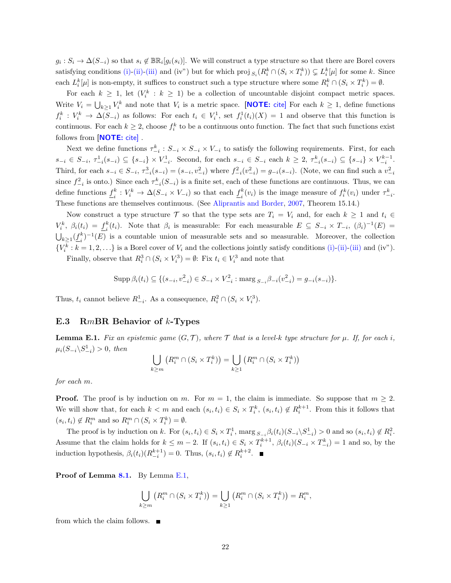$g_i: S_i \to \Delta(S_{-i})$  so that  $s_i \notin \mathbb{BR}_i[g_i(s_i)]$ . We will construct a type structure so that there are Borel covers satisfying conditions [\(i\)-](#page-9-4)[\(ii\)-](#page-9-8)[\(iii\)](#page-9-9) and (iv") but for which proj  $_{S_i}(R_i^k \cap (S_i \times T_i^k)) \subsetneq L_i^k[\mu]$  for some k. Since each  $L_i^k[\mu]$  is non-empty, it suffices to construct such a type structure where some  $R_i^k \cap (S_i \times T_i^k) = \emptyset$ .

For each  $k \geq 1$ , let  $(V_i^k : k \geq 1)$  be a collection of uncountable disjoint compact metric spaces. Write  $V_i = \bigcup_{k \geq 1} V_i^k$  and note that  $V_i$  is a metric space. **[NOTE:** cite] For each  $k \geq 1$ , define functions  $f_i^k: V_i^k \to \Delta(S_{-i})$  as follows: For each  $t_i \in V_i^1$ , set  $f_i^1(t_i)(X) = 1$  and observe that this function is continuous. For each  $k \geq 2$ , choose  $f_i^k$  to be a continuous onto function. The fact that such functions exist follows from [NOTE: cite].

Next we define functions  $\tau_{-i}^k$ :  $S_{-i} \times S_{-i} \times V_{-i}$  to satisfy the following requirements. First, for each  $s_{-i} \in S_{-i}, \tau^1_{-i}(s_{-i}) \subseteq \{s_{-i}\}\times V^1_{-i}$ . Second, for each  $s_{-i} \in S_{-i}$  each  $k ≥ 2, \tau^k_{-i}(s_{-i}) ⊆ \{s_{-i}\}\times V^{k-1}_{-i}$ . Third, for each  $s_{-i} \in S_{-i}$ ,  $\tau_{-i}^3(s_{-i}) = (s_{-i}, v_{-i}^2)$  where  $f_{-i}^2(v_{-i}^2) = g_{-i}(s_{-i})$ . (Note, we can find such a  $v_{-i}^2$ since  $f_{-i}^2$  is onto.) Since each  $\tau_{-i}^k(S_{-i})$  is a finite set, each of these functions are continuous. Thus, we can define functions  $f^k_i$  $i_i^k: V_i^k \to \Delta(S_{-i} \times V_{-i})$  so that each  $\underline{f}_i^k$  $i(v_i)$  is the image measure of  $f_i^k(v_i)$  under  $\tau_{-i}^k$ . These functions are themselves continuous. (See [Aliprantis and Border,](#page-22-16) [2007,](#page-22-16) Theorem 15.14.)

Now construct a type structure T so that the type sets are  $T_i = V_i$  and, for each  $k \ge 1$  and  $t_i \in$  $V_i^k$ ,  $\beta_i(t_i) = \underline{f}_i^k$  $i(t_i)$ . Note that  $\beta_i$  is measurable: For each measurable  $E \subseteq S_{-i} \times T_{-i}$ ,  $(\beta_i)^{-1}(E) =$  $\bigcup_{k\geq 1} (\underline{f}_i^k)$  $\binom{k}{i}$  = 1(E) is a countable union of measurable sets and so measurable. Moreover, the collection  $\{V_i^k : k = 1, 2, \ldots\}$  is a Borel cover of  $V_i$  and the collections jointly satisfy conditions [\(i\)-](#page-9-4)[\(ii\)-](#page-9-8)[\(iii\)](#page-9-9) and (iv").

Finally, observe that  $R_i^3 \cap (S_i \times V_i^3) = \emptyset$ : Fix  $t_i \in V_i^3$  and note that

$$
\operatorname{Supp} \beta_i(t_i) \subseteq \{ (s_{-i}, v_{-i}^2) \in S_{-i} \times V_{-i}^2 : \operatorname{marg} S_{-i} \beta_{-i}(v_{-i}^2) = g_{-i}(s_{-i}) \}.
$$

Thus,  $t_i$  cannot believe  $R_{-i}^1$ . As a consequence,  $R_i^2 \cap (S_i \times V_i^3)$ .

#### E.3 RmBR Behavior of k-Types

<span id="page-21-0"></span>**Lemma E.1.** Fix an epistemic game  $(G, \mathcal{T})$ , where  $\mathcal{T}$  that is a level-k type structure for  $\mu$ . If, for each i,  $\mu_i(S_{-i} \backslash S^1_{-i}) > 0$ , then

$$
\bigcup_{k\geq m} \left( R_i^m \cap (S_i \times T_i^k) \right) = \bigcup_{k\geq 1} \left( R_i^m \cap (S_i \times T_i^k) \right)
$$

for each m.

**Proof.** The proof is by induction on m. For  $m = 1$ , the claim is immediate. So suppose that  $m \geq 2$ . We will show that, for each  $k < m$  and each  $(s_i, t_i) \in S_i \times T_i^k$ ,  $(s_i, t_i) \notin R_i^{k+1}$ . From this it follows that  $(s_i, t_i) \notin R_i^m$  and so  $R_i^m \cap (S_i \times T_i^k) = \emptyset$ .

The proof is by induction on k. For  $(s_i, t_i) \in S_i \times T_i^1$ ,  $\max_{S_{-i}} \beta_i(t_i) (S_{-i} \setminus S_{-i}^1) > 0$  and so  $(s_i, t_i) \notin R_i^2$ . Assume that the claim holds for  $k \leq m-2$ . If  $(s_i, t_i) \in S_i \times T_i^{k+1}$ ,  $\beta_i(t_i)(S_{-i} \times T_{-i}^k) = 1$  and so, by the induction hypothesis,  $\beta_i(t_i)(R_{-i}^{k+1}) = 0$ . Thus,  $(s_i, t_i) \notin R_i^{k+2}$ .

Proof of Lemma [8.1.](#page-14-0) By Lemma [E.1,](#page-21-0)

$$
\bigcup_{k\geq m} \left( R_i^m \cap (S_i \times T_i^k) \right) = \bigcup_{k\geq 1} \left( R_i^m \cap (S_i \times T_i^k) \right) = R_i^m,
$$

from which the claim follows.  $\blacksquare$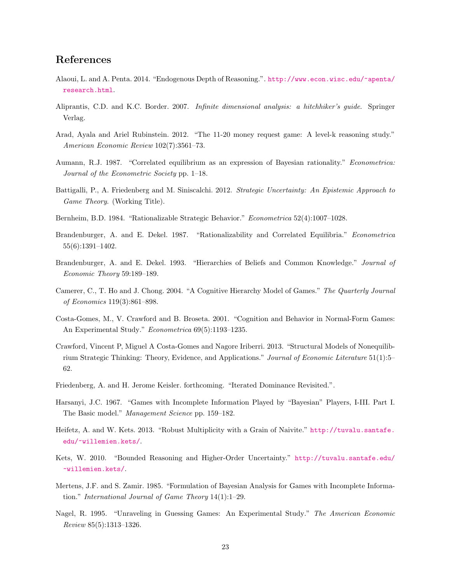### References

- <span id="page-22-13"></span>Alaoui, L. and A. Penta. 2014. "Endogenous Depth of Reasoning.". [http://www.econ.wisc.edu/~apenta/](http://www.econ.wisc.edu/~apenta/research.html) [research.html](http://www.econ.wisc.edu/~apenta/research.html).
- <span id="page-22-16"></span>Aliprantis, C.D. and K.C. Border. 2007. Infinite dimensional analysis: a hitchhiker's guide. Springer Verlag.
- <span id="page-22-7"></span>Arad, Ayala and Ariel Rubinstein. 2012. "The 11-20 money request game: A level-k reasoning study." American Economic Review 102(7):3561–73.
- <span id="page-22-4"></span>Aumann, R.J. 1987. "Correlated equilibrium as an expression of Bayesian rationality." Econometrica: Journal of the Econometric Society pp. 1–18.
- <span id="page-22-6"></span>Battigalli, P., A. Friedenberg and M. Siniscalchi. 2012. Strategic Uncertainty: An Epistemic Approach to Game Theory. (Working Title).
- <span id="page-22-3"></span>Bernheim, B.D. 1984. "Rationalizable Strategic Behavior." Econometrica 52(4):1007–1028.
- <span id="page-22-5"></span>Brandenburger, A. and E. Dekel. 1987. "Rationalizability and Correlated Equilibria." Econometrica 55(6):1391–1402.
- <span id="page-22-11"></span>Brandenburger, A. and E. Dekel. 1993. "Hierarchies of Beliefs and Common Knowledge." Journal of Economic Theory 59:189–189.
- <span id="page-22-2"></span>Camerer, C., T. Ho and J. Chong. 2004. "A Cognitive Hierarchy Model of Games." The Quarterly Journal of Economics 119(3):861–898.
- <span id="page-22-1"></span>Costa-Gomes, M., V. Crawford and B. Broseta. 2001. "Cognition and Behavior in Normal-Form Games: An Experimental Study." Econometrica 69(5):1193–1235.
- <span id="page-22-8"></span>Crawford, Vincent P, Miguel A Costa-Gomes and Nagore Iriberri. 2013. "Structural Models of Nonequilibrium Strategic Thinking: Theory, Evidence, and Applications." Journal of Economic Literature 51(1):5– 62.
- <span id="page-22-12"></span>Friedenberg, A. and H. Jerome Keisler. forthcoming. "Iterated Dominance Revisited.".
- <span id="page-22-9"></span>Harsanyi, J.C. 1967. "Games with Incomplete Information Played by "Bayesian" Players, I-III. Part I. The Basic model." Management Science pp. 159–182.
- <span id="page-22-14"></span>Heifetz, A. and W. Kets. 2013. "Robust Multiplicity with a Grain of Naivite." [http://tuvalu.santafe.](http://tuvalu.santafe.edu/~willemien.kets/) [edu/~willemien.kets/](http://tuvalu.santafe.edu/~willemien.kets/).
- <span id="page-22-15"></span>Kets, W. 2010. "Bounded Reasoning and Higher-Order Uncertainty." [http://tuvalu.santafe.edu/](http://tuvalu.santafe.edu/~willemien.kets/) [~willemien.kets/](http://tuvalu.santafe.edu/~willemien.kets/).
- <span id="page-22-10"></span>Mertens, J.F. and S. Zamir. 1985. "Formulation of Bayesian Analysis for Games with Incomplete Information." International Journal of Game Theory 14(1):1–29.
- <span id="page-22-0"></span>Nagel, R. 1995. "Unraveling in Guessing Games: An Experimental Study." The American Economic Review 85(5):1313–1326.